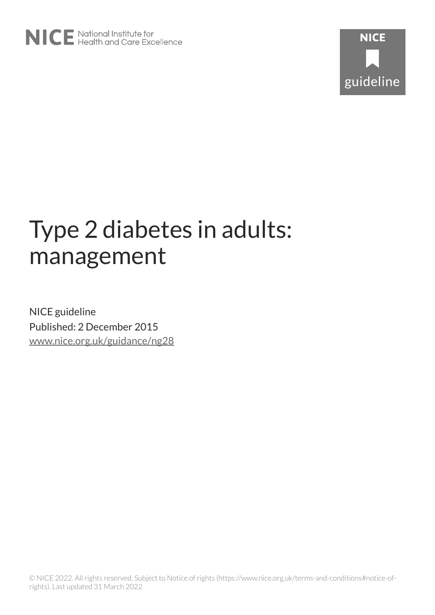# Type 2 diabetes in adults: management

NICE guideline Published: 2 December 2015 [www.nice.org.uk/guidance/ng28](https://www.nice.org.uk/guidance/ng28)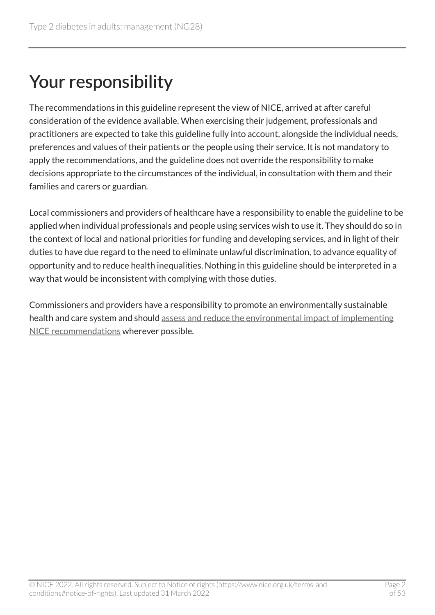# Your responsibility

The recommendations in this guideline represent the view of NICE, arrived at after careful consideration of the evidence available. When exercising their judgement, professionals and practitioners are expected to take this guideline fully into account, alongside the individual needs, preferences and values of their patients or the people using their service. It is not mandatory to apply the recommendations, and the guideline does not override the responsibility to make decisions appropriate to the circumstances of the individual, in consultation with them and their families and carers or guardian.

Local commissioners and providers of healthcare have a responsibility to enable the guideline to be applied when individual professionals and people using services wish to use it. They should do so in the context of local and national priorities for funding and developing services, and in light of their duties to have due regard to the need to eliminate unlawful discrimination, to advance equality of opportunity and to reduce health inequalities. Nothing in this guideline should be interpreted in a way that would be inconsistent with complying with those duties.

Commissioners and providers have a responsibility to promote an environmentally sustainable health and care system and should [assess and reduce the environmental impact of implementing](https://www.nice.org.uk/about/who-we-are/sustainability)  [NICE recommendations](https://www.nice.org.uk/about/who-we-are/sustainability) wherever possible.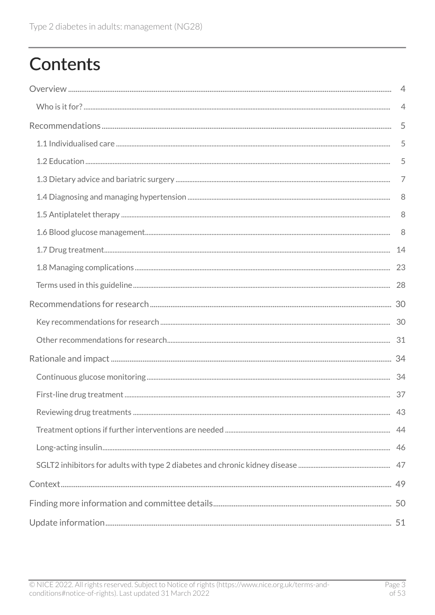# **Contents**

| $\overline{4}$ |
|----------------|
| 4              |
| 5              |
| 5              |
| 5              |
| 7              |
| 8              |
| 8              |
| 8              |
|                |
|                |
|                |
|                |
|                |
|                |
|                |
|                |
|                |
|                |
|                |
|                |
|                |
|                |
|                |
|                |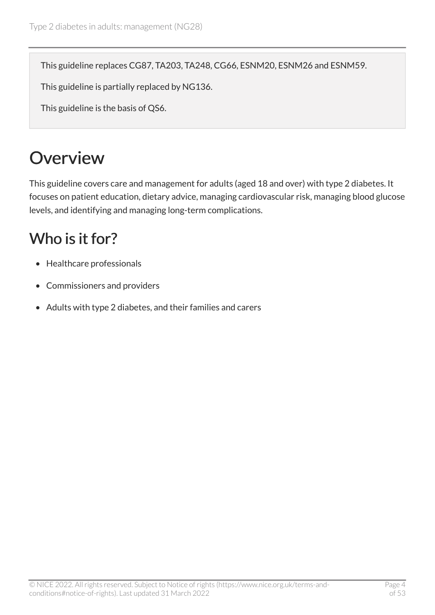This guideline replaces CG87, TA203, TA248, CG66, ESNM20, ESNM26 and ESNM59.

This guideline is partially replaced by NG136.

This guideline is the basis of QS6.

# <span id="page-3-0"></span>**Overview**

This guideline covers care and management for adults (aged 18 and over) with type 2 diabetes. It focuses on patient education, dietary advice, managing cardiovascular risk, managing blood glucose levels, and identifying and managing long-term complications.

## <span id="page-3-1"></span>Who is it for?

- Healthcare professionals
- Commissioners and providers
- Adults with type 2 diabetes, and their families and carers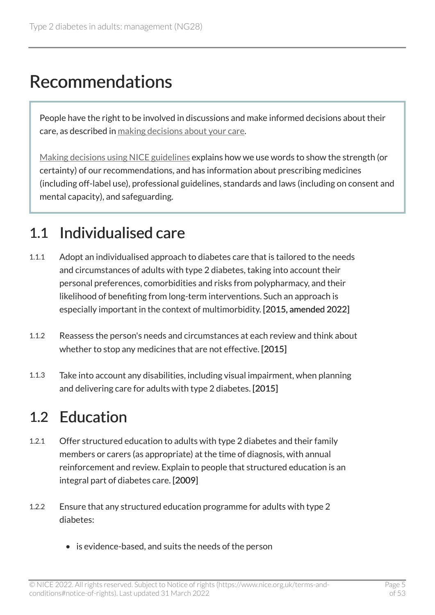# <span id="page-4-0"></span>Recommendations

People have the right to be involved in discussions and make informed decisions about their care, as described in [making decisions about your care.](http://www.nice.org.uk/about/nice-communities/public-involvement/your-care)

[Making decisions using NICE guidelines](http://www.nice.org.uk/about/what-we-do/our-programmes/nice-guidance/nice-guidelines/using-NICE-guidelines-to-make-decisions) explains how we use words to show the strength (or certainty) of our recommendations, and has information about prescribing medicines (including off-label use), professional guidelines, standards and laws (including on consent and mental capacity), and safeguarding.

## <span id="page-4-1"></span>1.1 Individualised care

- 1.1.1 Adopt an individualised approach to diabetes care that is tailored to the needs and circumstances of adults with type 2 diabetes, taking into account their personal preferences, comorbidities and risks from polypharmacy, and their likelihood of benefiting from long-term interventions. Such an approach is especially important in the context of multimorbidity. [2015, amended 2022]
- 1.1.2 Reassess the person's needs and circumstances at each review and think about whether to stop any medicines that are not effective. [2015]
- 1.1.3 Take into account any disabilities, including visual impairment, when planning and delivering care for adults with type 2 diabetes. [2015]

## <span id="page-4-2"></span>1.2 Education

- 1.2.1 Offer structured education to adults with type 2 diabetes and their family members or carers (as appropriate) at the time of diagnosis, with annual reinforcement and review. Explain to people that structured education is an integral part of diabetes care. [2009]
- 1.2.2 Ensure that any structured education programme for adults with type 2 diabetes:
	- is evidence-based, and suits the needs of the person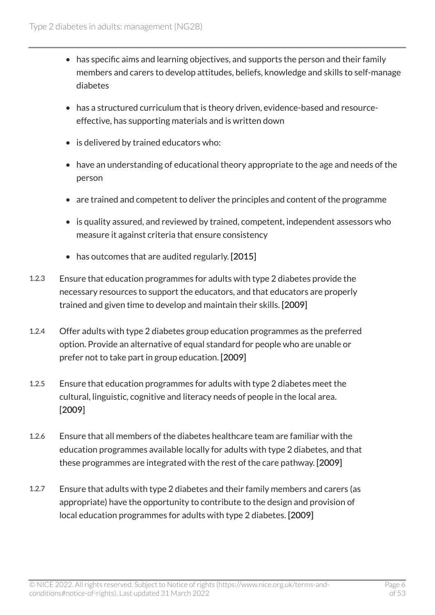- has specific aims and learning objectives, and supports the person and their family members and carers to develop attitudes, beliefs, knowledge and skills to self-manage diabetes
- has a structured curriculum that is theory driven, evidence-based and resourceeffective, has supporting materials and is written down
- is delivered by trained educators who:
- have an understanding of educational theory appropriate to the age and needs of the person
- are trained and competent to deliver the principles and content of the programme
- is quality assured, and reviewed by trained, competent, independent assessors who measure it against criteria that ensure consistency
- has outcomes that are audited regularly. [2015]
- 1.2.3 Ensure that education programmes for adults with type 2 diabetes provide the necessary resources to support the educators, and that educators are properly trained and given time to develop and maintain their skills. [2009]
- 1.2.4 Offer adults with type 2 diabetes group education programmes as the preferred option. Provide an alternative of equal standard for people who are unable or prefer not to take part in group education. [2009]
- 1.2.5 Ensure that education programmes for adults with type 2 diabetes meet the cultural, linguistic, cognitive and literacy needs of people in the local area. [2009]
- 1.2.6 Ensure that all members of the diabetes healthcare team are familiar with the education programmes available locally for adults with type 2 diabetes, and that these programmes are integrated with the rest of the care pathway. [2009]
- 1.2.7 Ensure that adults with type 2 diabetes and their family members and carers (as appropriate) have the opportunity to contribute to the design and provision of local education programmes for adults with type 2 diabetes. [2009]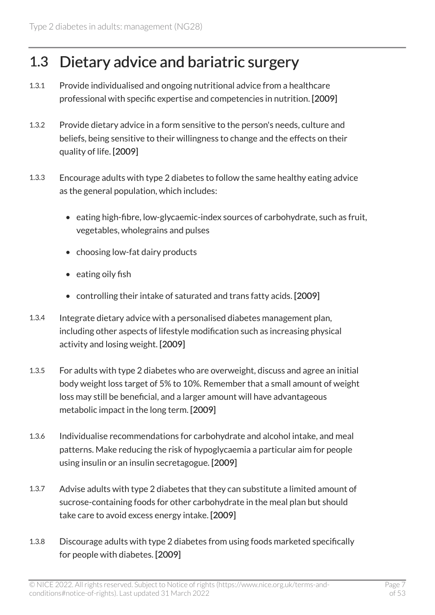## <span id="page-6-0"></span>1.3 Dietary advice and bariatric surgery

- 1.3.1 Provide individualised and ongoing nutritional advice from a healthcare professional with specific expertise and competencies in nutrition. [2009]
- 1.3.2 Provide dietary advice in a form sensitive to the person's needs, culture and beliefs, being sensitive to their willingness to change and the effects on their quality of life. [2009]
- 1.3.3 Encourage adults with type 2 diabetes to follow the same healthy eating advice as the general population, which includes:
	- eating high-fibre, low-glycaemic-index sources of carbohydrate, such as fruit, vegetables, wholegrains and pulses
	- choosing low-fat dairy products
	- eating oily fish
	- controlling their intake of saturated and trans fatty acids. [2009]
- 1.3.4 Integrate dietary advice with a personalised diabetes management plan, including other aspects of lifestyle modification such as increasing physical activity and losing weight. [2009]
- 1.3.5 For adults with type 2 diabetes who are overweight, discuss and agree an initial body weight loss target of 5% to 10%. Remember that a small amount of weight loss may still be beneficial, and a larger amount will have advantageous metabolic impact in the long term. [2009]
- 1.3.6 Individualise recommendations for carbohydrate and alcohol intake, and meal patterns. Make reducing the risk of hypoglycaemia a particular aim for people using insulin or an insulin secretagogue. [2009]
- 1.3.7 Advise adults with type 2 diabetes that they can substitute a limited amount of sucrose-containing foods for other carbohydrate in the meal plan but should take care to avoid excess energy intake. [2009]
- 1.3.8 Discourage adults with type 2 diabetes from using foods marketed specifically for people with diabetes. [2009]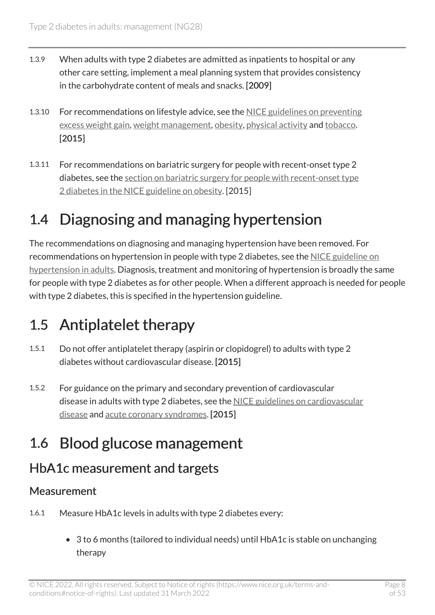- 1.3.9 When adults with type 2 diabetes are admitted as inpatients to hospital or any other care setting, implement a meal planning system that provides consistency in the carbohydrate content of meals and snacks. [2009]
- 1.3.10 For recommendations on lifestyle advice, see the [NICE guidelines on preventing](https://www.nice.org.uk/guidance/ng7) [excess weight gain,](https://www.nice.org.uk/guidance/ng7) [weight management](https://www.nice.org.uk/guidance/ph53), [obesity](https://www.nice.org.uk/guidance/cg189), [physical activity](https://www.nice.org.uk/guidance/ph44) and [tobacco.](https://www.nice.org.uk/guidance/ng209) [2015]
- 1.3.11 For recommendations on bariatric surgery for people with recent-onset type 2 diabetes, see the [section on bariatric surgery for people with recent-onset type](https://www.nice.org.uk/guidance/cg189/chapter/1-recommendations#bariatric-surgery-for-people-with-recent-onset-type-2-diabetes) [2 diabetes in the NICE guideline on obesity](https://www.nice.org.uk/guidance/cg189/chapter/1-recommendations#bariatric-surgery-for-people-with-recent-onset-type-2-diabetes). [2015]

## <span id="page-7-0"></span>1.4 Diagnosing and managing hypertension

The recommendations on diagnosing and managing hypertension have been removed. For recommendations on hypertension in people with type 2 diabetes, see the [NICE guideline on](https://www.nice.org.uk/guidance/ng136)  [hypertension in adults](https://www.nice.org.uk/guidance/ng136). Diagnosis, treatment and monitoring of hypertension is broadly the same for people with type 2 diabetes as for other people. When a different approach is needed for people with type 2 diabetes, this is specified in the hypertension guideline.

## <span id="page-7-1"></span>1.5 Antiplatelet therapy

- 1.5.1 Do not offer antiplatelet therapy (aspirin or clopidogrel) to adults with type 2 diabetes without cardiovascular disease. [2015]
- 1.5.2 For guidance on the primary and secondary prevention of cardiovascular disease in adults with type 2 diabetes, see the [NICE guidelines on cardiovascular](https://www.nice.org.uk/guidance/cg181) [disease](https://www.nice.org.uk/guidance/cg181) and [acute coronary syndromes](https://www.nice.org.uk/guidance/ng185). [2015]

## <span id="page-7-2"></span>1.6 Blood glucose management

#### HbA1c measurement and targets

#### **Measurement**

- 1.6.1 Measure HbA1c levels in adults with type 2 diabetes every:
	- 3 to 6 months (tailored to individual needs) until HbA1c is stable on unchanging therapy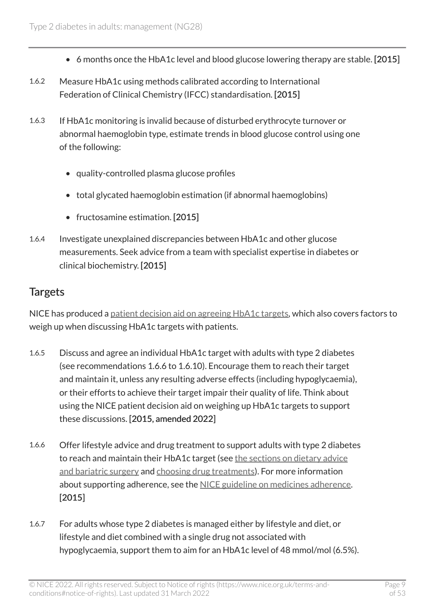- 6 months once the HbA1c level and blood glucose lowering therapy are stable. [2015]
- 1.6.2 Measure HbA1c using methods calibrated according to International Federation of Clinical Chemistry (IFCC) standardisation. [2015]
- 1.6.3 If HbA1c monitoring is invalid because of disturbed erythrocyte turnover or abnormal haemoglobin type, estimate trends in blood glucose control using one of the following:
	- quality-controlled plasma glucose profiles
	- total glycated haemoglobin estimation (if abnormal haemoglobins)
	- fructosamine estimation. [2015]
- 1.6.4 Investigate unexplained discrepancies between HbA1c and other glucose measurements. Seek advice from a team with specialist expertise in diabetes or clinical biochemistry. [2015]

#### **Targets**

NICE has produced a [patient decision aid on agreeing HbA1c targets,](https://www.nice.org.uk/guidance/ng28/resources/patient-decision-aid-2187281197) which also covers factors to weigh up when discussing HbA1c targets with patients.

- 1.6.5 Discuss and agree an individual HbA1c target with adults with type 2 diabetes (see recommendations 1.6.6 to 1.6.10). Encourage them to reach their target and maintain it, unless any resulting adverse effects (including hypoglycaemia), or their efforts to achieve their target impair their quality of life. Think about using the NICE patient decision aid on weighing up HbA1c targets to support these discussions. [2015, amended 2022]
- 1.6.6 Offer lifestyle advice and drug treatment to support adults with type 2 diabetes to reach and maintain their HbA1c target (see [the sections on dietary advice](#page-6-0) [and bariatric surgery](#page-6-0) and [choosing drug treatments\)](#page-13-1). For more information about supporting adherence, see the [NICE guideline on medicines adherence](https://www.nice.org.uk/guidance/cg76). [2015]
- 1.6.7 For adults whose type 2 diabetes is managed either by lifestyle and diet, or lifestyle and diet combined with a single drug not associated with hypoglycaemia, support them to aim for an HbA1c level of 48 mmol/mol (6.5%).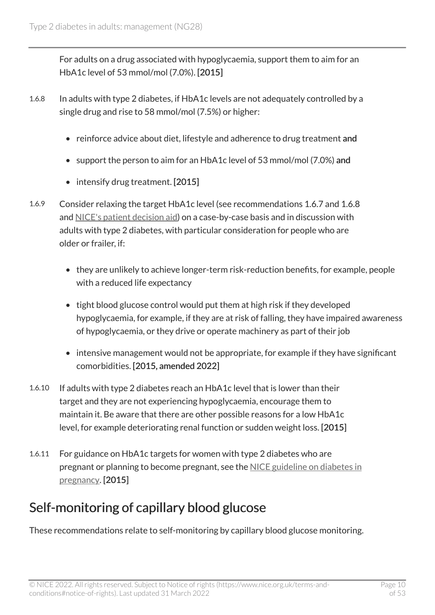For adults on a drug associated with hypoglycaemia, support them to aim for an HbA1c level of 53 mmol/mol (7.0%). [2015]

- 1.6.8 In adults with type 2 diabetes, if HbA1c levels are not adequately controlled by a single drug and rise to 58 mmol/mol (7.5%) or higher:
	- reinforce advice about diet, lifestyle and adherence to drug treatment and
	- support the person to aim for an HbA1c level of 53 mmol/mol (7.0%) and
	- intensify drug treatment. [2015]
- 1.6.9 Consider relaxing the target HbA1c level (see recommendations 1.6.7 and 1.6.8 and [NICE's patient decision aid\)](https://www.nice.org.uk/guidance/ng28/resources/patient-decision-aid-2187281197) on a case-by-case basis and in discussion with adults with type 2 diabetes, with particular consideration for people who are older or frailer, if:
	- they are unlikely to achieve longer-term risk-reduction benefits, for example, people with a reduced life expectancy
	- tight blood glucose control would put them at high risk if they developed hypoglycaemia, for example, if they are at risk of falling, they have impaired awareness of hypoglycaemia, or they drive or operate machinery as part of their job
	- intensive management would not be appropriate, for example if they have significant comorbidities. [2015, amended 2022]
- 1.6.10 If adults with type 2 diabetes reach an HbA1c level that is lower than their target and they are not experiencing hypoglycaemia, encourage them to maintain it. Be aware that there are other possible reasons for a low HbA1c level, for example deteriorating renal function or sudden weight loss. [2015]
- 1.6.11 For guidance on HbA1c targets for women with type 2 diabetes who are pregnant or planning to become pregnant, see the [NICE guideline on diabetes in](https://www.nice.org.uk/guidance/ng3) [pregnancy](https://www.nice.org.uk/guidance/ng3). [2015]

#### Self-monitoring of capillary blood glucose

These recommendations relate to self-monitoring by capillary blood glucose monitoring.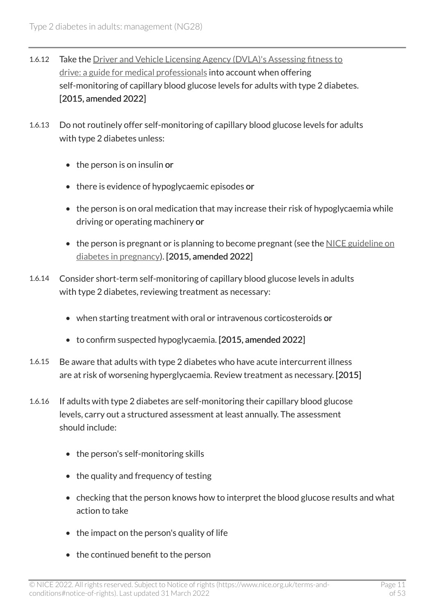- 1.6.12 Take the Driver and Vehicle Licensing Agency (DVLA)'s Assessing fitness to [drive: a guide for medical professionals](http://www.gov.uk/government/publications/at-a-glance) into account when offering self-monitoring of capillary blood glucose levels for adults with type 2 diabetes. [2015, amended 2022]
- 1.6.13 Do not routinely offer self-monitoring of capillary blood glucose levels for adults with type 2 diabetes unless:
	- the person is on insulin or
	- there is evidence of hypoglycaemic episodes or
	- the person is on oral medication that may increase their risk of hypoglycaemia while driving or operating machinery or
	- the person is pregnant or is planning to become pregnant (see the [NICE guideline on](https://www.nice.org.uk/guidance/ng3) [diabetes in pregnancy\)](https://www.nice.org.uk/guidance/ng3). [2015, amended 2022]
- 1.6.14 Consider short-term self-monitoring of capillary blood glucose levels in adults with type 2 diabetes, reviewing treatment as necessary:
	- when starting treatment with oral or intravenous corticosteroids or
	- to confirm suspected hypoglycaemia. [2015, amended 2022]
- 1.6.15 Be aware that adults with type 2 diabetes who have acute intercurrent illness are at risk of worsening hyperglycaemia. Review treatment as necessary. [2015]
- 1.6.16 If adults with type 2 diabetes are self-monitoring their capillary blood glucose levels, carry out a structured assessment at least annually. The assessment should include:
	- the person's self-monitoring skills
	- the quality and frequency of testing
	- checking that the person knows how to interpret the blood glucose results and what action to take
	- the impact on the person's quality of life
	- the continued benefit to the person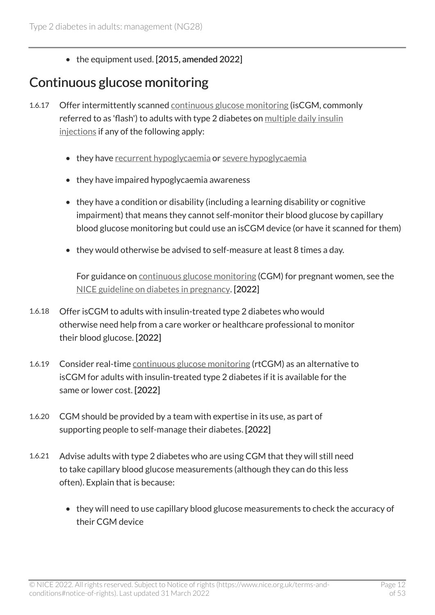• the equipment used. [2015, amended 2022]

### <span id="page-11-0"></span>Continuous glucose monitoring

- 1.6.17 Offer intermittently scanned [continuous glucose monitoring](#page-27-1) (isCGM, commonly referred to as 'flash') to adults with type 2 diabetes on [multiple daily insulin](#page-28-0)  [injections](#page-28-0) if any of the following apply:
	- they have [recurrent hypoglycaemia](#page-28-1) or severe hypoglycaemia
	- they have impaired hypoglycaemia awareness
	- they have a condition or disability (including a learning disability or cognitive impairment) that means they cannot self-monitor their blood glucose by capillary blood glucose monitoring but could use an isCGM device (or have it scanned for them)
	- they would otherwise be advised to self-measure at least 8 times a day.

For guidance on [continuous glucose monitoring](#page-27-1) (CGM) for pregnant women, see the [NICE guideline on diabetes in pregnancy](https://www.nice.org.uk/guidance/ng3). [2022]

- 1.6.18 Offer isCGM to adults with insulin-treated type 2 diabetes who would otherwise need help from a care worker or healthcare professional to monitor their blood glucose. [2022]
- 1.6.19 Consider real-time [continuous glucose monitoring](#page-27-1) (rtCGM) as an alternative to isCGM for adults with insulin-treated type 2 diabetes if it is available for the same or lower cost. [2022]
- 1.6.20 CGM should be provided by a team with expertise in its use, as part of supporting people to self-manage their diabetes. [2022]
- 1.6.21 Advise adults with type 2 diabetes who are using CGM that they will still need to take capillary blood glucose measurements (although they can do this less often). Explain that is because:
	- they will need to use capillary blood glucose measurements to check the accuracy of their CGM device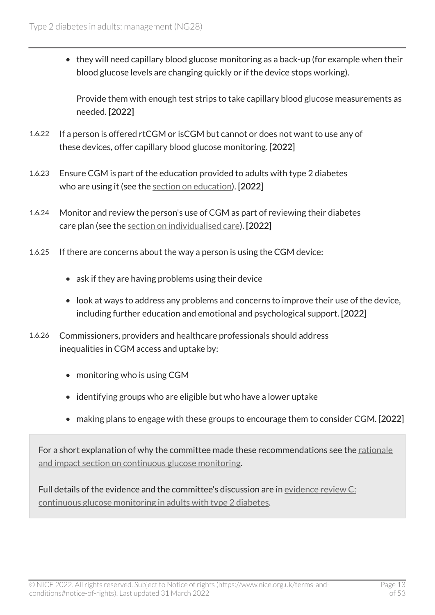• they will need capillary blood glucose monitoring as a back-up (for example when their blood glucose levels are changing quickly or if the device stops working).

Provide them with enough test strips to take capillary blood glucose measurements as needed. [2022]

- 1.6.22 If a person is offered rtCGM or isCGM but cannot or does not want to use any of these devices, offer capillary blood glucose monitoring. [2022]
- 1.6.23 Ensure CGM is part of the education provided to adults with type 2 diabetes who are using it (see the [section on education](#page-4-2)). [2022]
- 1.6.24 Monitor and review the person's use of CGM as part of reviewing their diabetes care plan (see the [section on individualised care](#page-4-1)). [2022]
- 1.6.25 If there are concerns about the way a person is using the CGM device:
	- ask if they are having problems using their device
	- look at ways to address any problems and concerns to improve their use of the device, including further education and emotional and psychological support. [2022]
- 1.6.26 Commissioners, providers and healthcare professionals should address inequalities in CGM access and uptake by:
	- monitoring who is using CGM
	- identifying groups who are eligible but who have a lower uptake
	- making plans to engage with these groups to encourage them to consider CGM. [2022]

For a short explanation of why the committee made these recommendations see the rationale [and impact section on continuous glucose monitoring](#page-33-1).

Full details of the evidence and the committee's discussion are in [evidence review](https://www.nice.org.uk/guidance/ng28/evidence/c-continuous-glucose-monitoring-in-adults-with-type-2-diabetes-pdf-11013297805) C: [continuous glucose monitoring in adults with type](https://www.nice.org.uk/guidance/ng28/evidence/c-continuous-glucose-monitoring-in-adults-with-type-2-diabetes-pdf-11013297805) 2 diabetes.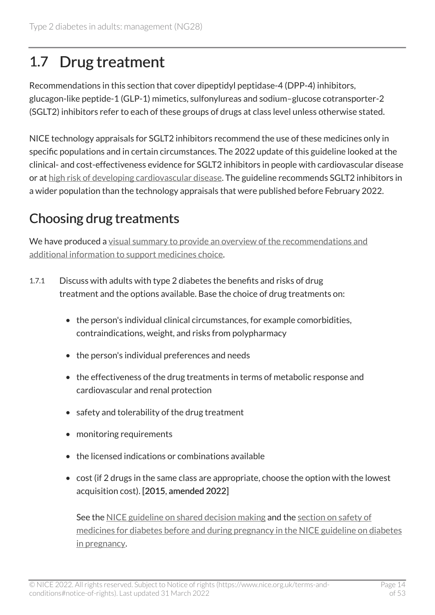## <span id="page-13-0"></span>1.7 Drug treatment

Recommendations in this section that cover dipeptidyl peptidase-4 (DPP-4) inhibitors, glucagon-like peptide-1 (GLP-1) mimetics, sulfonylureas and sodium–glucose cotransporter-2 (SGLT2) inhibitors refer to each of these groups of drugs at class level unless otherwise stated.

NICE technology appraisals for SGLT2 inhibitors recommend the use of these medicines only in specific populations and in certain circumstances. The 2022 update of this guideline looked at the clinical- and cost-effectiveness evidence for SGLT2 inhibitors in people with cardiovascular disease or at [high risk of developing cardiovascular disease.](#page-27-2) The guideline recommends SGLT2 inhibitors in a wider population than the technology appraisals that were published before February 2022.

## <span id="page-13-1"></span>Choosing drug treatments

We have produced a [visual summary to provide an overview of the recommendations and](https://www.nice.org.uk/guidance/ng28/resources/visual-summary-full-version-choosing-medicines-for-firstline-and-further-treatment-pdf-10956472093) [additional information to support medicines choice](https://www.nice.org.uk/guidance/ng28/resources/visual-summary-full-version-choosing-medicines-for-firstline-and-further-treatment-pdf-10956472093).

- 1.7.1 Discuss with adults with type 2 diabetes the benefits and risks of drug treatment and the options available. Base the choice of drug treatments on:
	- the person's individual clinical circumstances, for example comorbidities, contraindications, weight, and risks from polypharmacy
	- the person's individual preferences and needs
	- the effectiveness of the drug treatments in terms of metabolic response and cardiovascular and renal protection
	- safety and tolerability of the drug treatment
	- monitoring requirements
	- the licensed indications or combinations available
	- cost (if 2 drugs in the same class are appropriate, choose the option with the lowest acquisition cost). [2015, amended 2022]

See the [NICE guideline on shared decision making](https://www.nice.org.uk/guidance/ng197) and the [section on safety of](https://www.nice.org.uk/guidance/ng3/chapter/recommendations#safety-of-medicines-for-diabetes-before-and-during-pregnancy)  [medicines for diabetes before and during pregnancy in the NICE guideline on diabetes](https://www.nice.org.uk/guidance/ng3/chapter/recommendations#safety-of-medicines-for-diabetes-before-and-during-pregnancy) [in pregnancy.](https://www.nice.org.uk/guidance/ng3/chapter/recommendations#safety-of-medicines-for-diabetes-before-and-during-pregnancy)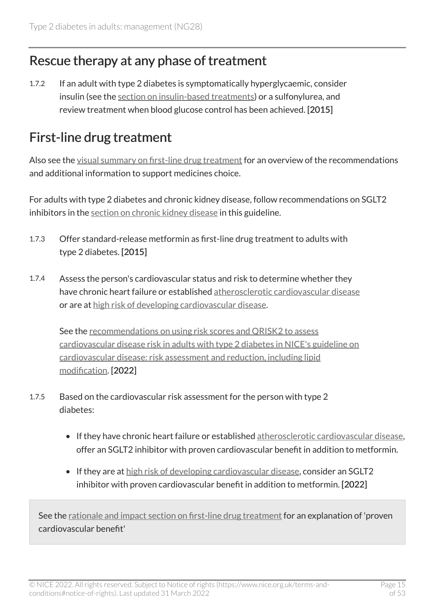### Rescue therapy at any phase of treatment

1.7.2 If an adult with type 2 diabetes is symptomatically hyperglycaemic, consider insulin (see the [section on insulin-based treatments\)](#page-20-0) or a sulfonylurea, and review treatment when blood glucose control has been achieved. [2015]

### <span id="page-14-0"></span>First-line drug treatment

Also see the [visual summary on first-line drug treatment](https://www.nice.org.uk/guidance/ng28/resources/visual-summary-short-version-choosing-medicines-for-firstline-treatment-pdf-10956472094) for an overview of the recommendations and additional information to support medicines choice.

For adults with type 2 diabetes and chronic kidney disease, follow recommendations on SGLT2 inhibitors in the [section on chronic kidney disease](#page-24-0) in this guideline.

- 1.7.3 Offer standard-release metformin as first-line drug treatment to adults with type 2 diabetes. [2015]
- 1.7.4 Assess the person's cardiovascular status and risk to determine whether they have chronic heart failure or established [atherosclerotic cardiovascular disease](#page-27-3)  or are at [high risk of developing cardiovascular disease](#page-27-2).

See the [recommendations on using risk scores and QRISK2 to assess](https://www.nice.org.uk/guidance/cg181/chapter/recommendations) [cardiovascular disease risk in adults with type](https://www.nice.org.uk/guidance/cg181/chapter/recommendations) 2 diabetes in NICE's guideline on [cardiovascular disease: risk assessment and reduction, including lipid](https://www.nice.org.uk/guidance/cg181/chapter/recommendations)  [modification.](https://www.nice.org.uk/guidance/cg181/chapter/recommendations) [2022]

- 1.7.5 Based on the cardiovascular risk assessment for the person with type 2 diabetes:
	- If they have chronic heart failure or established [atherosclerotic cardiovascular disease,](#page-27-3) offer an SGLT2 inhibitor with proven cardiovascular benefit in addition to metformin.
	- If they are at [high risk of developing cardiovascular disease,](#page-27-2) consider an SGLT2 inhibitor with proven cardiovascular benefit in addition to metformin. [2022]

See the [rationale and impact section on first-line drug treatment](#page-36-0) for an explanation of 'proven cardiovascular benefit'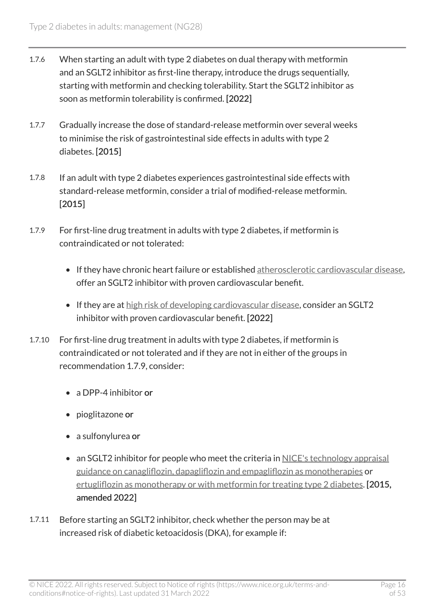- 1.7.6 When starting an adult with type 2 diabetes on dual therapy with metformin and an SGLT2 inhibitor as first-line therapy, introduce the drugs sequentially, starting with metformin and checking tolerability. Start the SGLT2 inhibitor as soon as metformin tolerability is confirmed. [2022]
- 1.7.7 Gradually increase the dose of standard-release metformin over several weeks to minimise the risk of gastrointestinal side effects in adults with type 2 diabetes. [2015]
- 1.7.8 If an adult with type 2 diabetes experiences gastrointestinal side effects with standard-release metformin, consider a trial of modified-release metformin. [2015]
- 1.7.9 For first-line drug treatment in adults with type 2 diabetes, if metformin is contraindicated or not tolerated:
	- If they have chronic heart failure or established [atherosclerotic cardiovascular disease,](#page-27-3) offer an SGLT2 inhibitor with proven cardiovascular benefit.
	- If they are at [high risk of developing cardiovascular disease,](#page-27-2) consider an SGLT2 inhibitor with proven cardiovascular benefit. [2022]
- 1.7.10 For first-line drug treatment in adults with type 2 diabetes, if metformin is contraindicated or not tolerated and if they are not in either of the groups in recommendation 1.7.9, consider:
	- a DPP-4 inhibitor or
	- pioglitazone or
	- a sulfonylurea or
	- an SGLT2 inhibitor for people who meet the criteria in NICE's technology appraisal [guidance on canagliflozin, dapagliflozin and empagliflozin as monotherapies](https://www.nice.org.uk/guidance/ta390) or [ertugliflozin as monotherapy or with metformin for treating type](https://www.nice.org.uk/guidance/ta572) 2 diabetes. [2015, amended 2022]
- 1.7.11 Before starting an SGLT2 inhibitor, check whether the person may be at increased risk of diabetic ketoacidosis (DKA), for example if: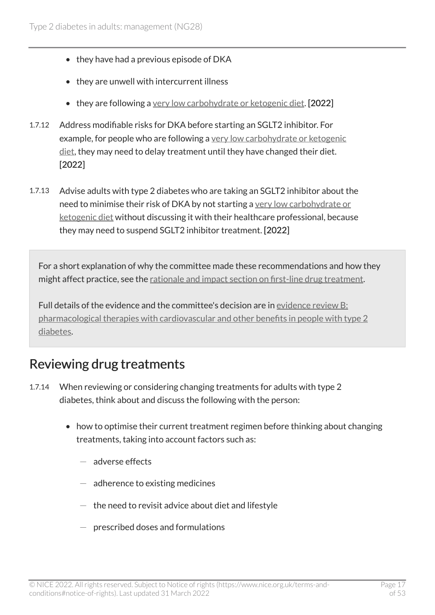- they have had a previous episode of DKA
- they are unwell with intercurrent illness
- they are following a [very low carbohydrate or ketogenic diet.](#page-28-3) [2022]
- 1.7.12 Address modifiable risks for DKA before starting an SGLT2 inhibitor. For example, for people who are following a [very low carbohydrate or ketogenic](#page-28-3) [diet,](#page-28-3) they may need to delay treatment until they have changed their diet. [2022]
- 1.7.13 Advise adults with type 2 diabetes who are taking an SGLT2 inhibitor about the need to minimise their risk of DKA by not starting a [very low carbohydrate or](#page-28-3) [ketogenic diet](#page-28-3) without discussing it with their healthcare professional, because they may need to suspend SGLT2 inhibitor treatment. [2022]

For a short explanation of why the committee made these recommendations and how they might affect practice, see the [rationale and impact section on first-line drug treatment](#page-36-0).

Full details of the evidence and the committee's decision are in [evidence review B:](https://www.nice.org.uk/guidance/ng28/evidence/b-pharmacological-therapies-with-cardiovascular-and-other-benefits-in-people-with-type-2-diabetes-pdf-10956473392)  [pharmacological therapies with cardiovascular and other benefits in people with type](https://www.nice.org.uk/guidance/ng28/evidence/b-pharmacological-therapies-with-cardiovascular-and-other-benefits-in-people-with-type-2-diabetes-pdf-10956473392) 2 [diabetes.](https://www.nice.org.uk/guidance/ng28/evidence/b-pharmacological-therapies-with-cardiovascular-and-other-benefits-in-people-with-type-2-diabetes-pdf-10956473392)

#### <span id="page-16-0"></span>Reviewing drug treatments

- 1.7.14 When reviewing or considering changing treatments for adults with type 2 diabetes, think about and discuss the following with the person:
	- how to optimise their current treatment regimen before thinking about changing treatments, taking into account factors such as:
		- $-$  adverse effects
		- $-$  adherence to existing medicines
		- $-$  the need to revisit advice about diet and lifestyle
		- $-$  prescribed doses and formulations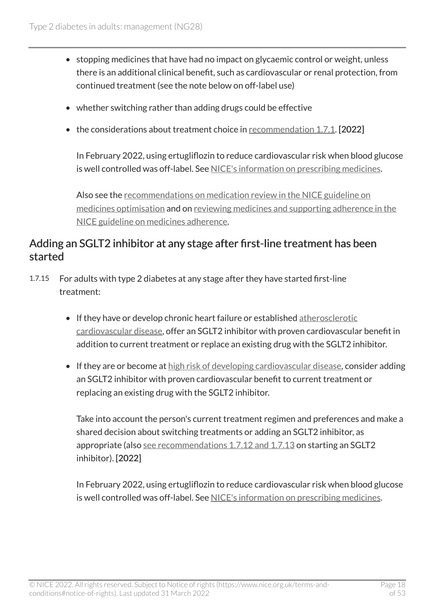- stopping medicines that have had no impact on glycaemic control or weight, unless there is an additional clinical benefit, such as cardiovascular or renal protection, from continued treatment (see the note below on off-label use)
- whether switching rather than adding drugs could be effective
- the considerations about treatment choice in [recommendation 1.7.1.](#page-13-1) [2022]

In February 2022, using ertugliflozin to reduce cardiovascular risk when blood glucose is well controlled was off-label. See [NICE's information on prescribing medicines](https://www.nice.org.uk/about/what-we-do/our-programmes/nice-guidance/nice-guidelines/making-decisions-using-nice-guidelines#prescribing-medicines).

Also see the [recommendations on medication review in the NICE guideline on](https://www.nice.org.uk/guidance/ng5/chapter/1-Recommendations#medication-review) [medicines optimisation](https://www.nice.org.uk/guidance/ng5/chapter/1-Recommendations#medication-review) and on [reviewing medicines and supporting adherence in the](https://www.nice.org.uk/guidance/cg76/chapter/1-Guidance)  [NICE guideline on medicines adherence](https://www.nice.org.uk/guidance/cg76/chapter/1-Guidance).

#### Adding an SGLT2 inhibitor at any stage after first-line treatment has been started

- 1.7.15 For adults with type 2 diabetes at any stage after they have started first-line treatment:
	- If they have or develop chronic heart failure or established [atherosclerotic](#page-27-3) [cardiovascular disease](#page-27-3), offer an SGLT2 inhibitor with proven cardiovascular benefit in addition to current treatment or replace an existing drug with the SGLT2 inhibitor.
	- If they are or become at [high risk of developing cardiovascular disease](#page-27-2), consider adding an SGLT2 inhibitor with proven cardiovascular benefit to current treatment or replacing an existing drug with the SGLT2 inhibitor.

Take into account the person's current treatment regimen and preferences and make a shared decision about switching treatments or adding an SGLT2 inhibitor, as appropriate (also [see recommendations 1.7.12 and 1.7.13](#page-14-0) on starting an SGLT2 inhibitor). [2022]

In February 2022, using ertugliflozin to reduce cardiovascular risk when blood glucose is well controlled was off-label. See [NICE's information on prescribing medicines](https://www.nice.org.uk/about/what-we-do/our-programmes/nice-guidance/nice-guidelines/making-decisions-using-nice-guidelines#prescribing-medicines).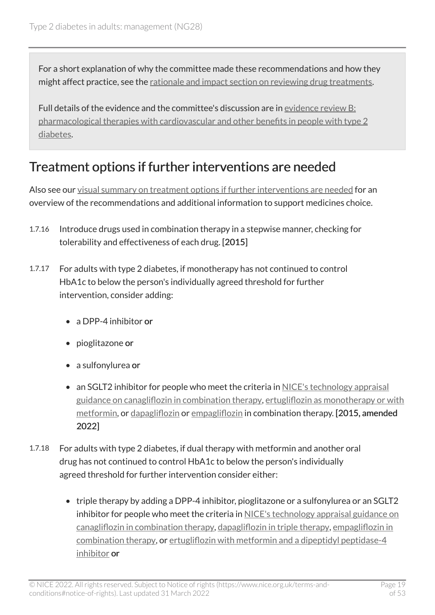For a short explanation of why the committee made these recommendations and how they might affect practice, see the [rationale and impact section on reviewing drug treatments](#page-42-0).

Full details of the evidence and the committee's discussion are in [evidence review B:](https://www.nice.org.uk/guidance/ng28/evidence/b-pharmacological-therapies-with-cardiovascular-and-other-benefits-in-people-with-type-2-diabetes-pdf-10956473392) [pharmacological therapies with cardiovascular and other benefits in people with type](https://www.nice.org.uk/guidance/ng28/evidence/b-pharmacological-therapies-with-cardiovascular-and-other-benefits-in-people-with-type-2-diabetes-pdf-10956473392) 2 [diabetes.](https://www.nice.org.uk/guidance/ng28/evidence/b-pharmacological-therapies-with-cardiovascular-and-other-benefits-in-people-with-type-2-diabetes-pdf-10956473392)

### <span id="page-18-0"></span>Treatment options if further interventions are needed

Also see our [visual summary on treatment options if further interventions are needed](https://www.nice.org.uk/guidance/ng28/resources/visual-summary-short-version-choosing-medicines-for-further-treatment-pdf-10956472095) for an overview of the recommendations and additional information to support medicines choice.

- 1.7.16 Introduce drugs used in combination therapy in a stepwise manner, checking for tolerability and effectiveness of each drug. [2015]
- 1.7.17 For adults with type 2 diabetes, if monotherapy has not continued to control HbA1c to below the person's individually agreed threshold for further intervention, consider adding:
	- a DPP-4 inhibitor or
	- pioglitazone or
	- a sulfonylurea or
	- an SGLT2 inhibitor for people who meet the criteria in NICE's technology appraisal [guidance on canagliflozin in combination therapy,](https://www.nice.org.uk/guidance/ta315) [ertugliflozin as monotherapy or with](https://www.nice.org.uk/guidance/ta572) [metformin](https://www.nice.org.uk/guidance/ta572), or [dapagliflozin](https://www.nice.org.uk/guidance/ta288) or [empagliflozin](https://www.nice.org.uk/guidance/ta336) in combination therapy. [2015, amended 2022]
- 1.7.18 For adults with type 2 diabetes, if dual therapy with metformin and another oral drug has not continued to control HbA1c to below the person's individually agreed threshold for further intervention consider either:
	- triple therapy by adding a DPP-4 inhibitor, pioglitazone or a sulfonylurea or an SGLT2 inhibitor for people who meet the criteria in NICE's technology appraisal guidance on [canagliflozin in combination therapy](https://www.nice.org.uk/guidance/ta315), [dapagliflozin in triple therapy,](https://www.nice.org.uk/guidance/ta418) [empagliflozin in](https://www.nice.org.uk/guidance/ta336) [combination therapy](https://www.nice.org.uk/guidance/ta336), or [ertugliflozin with metformin and a dipeptidyl peptidase-4](https://www.nice.org.uk/guidance/ta583) [inhibitor](https://www.nice.org.uk/guidance/ta583) or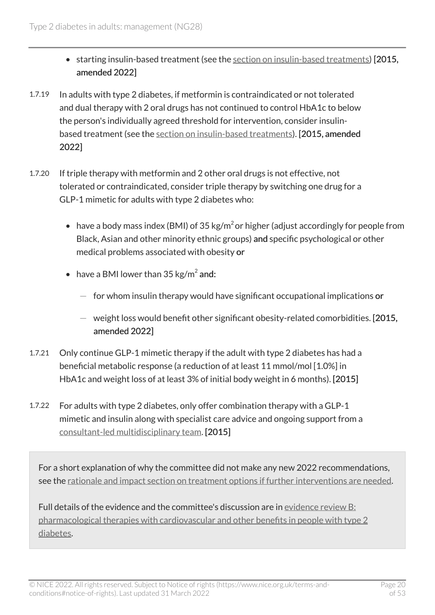- starting insulin-based treatment (see the [section on insulin-based treatments\)](#page-20-0) [2015, amended 2022]
- 1.7.19 In adults with type 2 diabetes, if metformin is contraindicated or not tolerated and dual therapy with 2 oral drugs has not continued to control HbA1c to below the person's individually agreed threshold for intervention, consider insulinbased treatment (see the [section on insulin-based treatments](#page-20-0)). [2015, amended 2022]
- 1.7.20 If triple therapy with metformin and 2 other oral drugs is not effective, not tolerated or contraindicated, consider triple therapy by switching one drug for a GLP-1 mimetic for adults with type 2 diabetes who:
	- have a body mass index (BMI) of 35 kg/m<sup>2</sup> or higher (adjust accordingly for people from Black, Asian and other minority ethnic groups) and specific psychological or other medical problems associated with obesity or
	- have a BMI lower than  $35 \text{ kg/m}^2$  and:
		- $-$  for whom insulin therapy would have significant occupational implications or
		- $-$  weight loss would benefit other significant obesity-related comorbidities. [2015, amended 2022]
- 1.7.21 Only continue GLP-1 mimetic therapy if the adult with type 2 diabetes has had a beneficial metabolic response (a reduction of at least 11 mmol/mol [1.0%] in HbA1c and weight loss of at least 3% of initial body weight in 6 months). [2015]
- 1.7.22 For adults with type 2 diabetes, only offer combination therapy with a GLP-1 mimetic and insulin along with specialist care advice and ongoing support from a [consultant-led multidisciplinary team.](#page-27-4) [2015]

For a short explanation of why the committee did not make any new 2022 recommendations, see the [rationale and impact section on treatment options if further interventions are needed.](#page-43-0)

Full details of the evidence and the committee's discussion are in [evidence review B:](https://www.nice.org.uk/guidance/ng28/evidence/pharmacological-therapies-with-cardiovascular-and-other-benefits-in-people-with-type-2-diabetes-pdf-10956473392) [pharmacological therapies with cardiovascular and other benefits in people with type](https://www.nice.org.uk/guidance/ng28/evidence/pharmacological-therapies-with-cardiovascular-and-other-benefits-in-people-with-type-2-diabetes-pdf-10956473392) 2 [diabetes.](https://www.nice.org.uk/guidance/ng28/evidence/pharmacological-therapies-with-cardiovascular-and-other-benefits-in-people-with-type-2-diabetes-pdf-10956473392)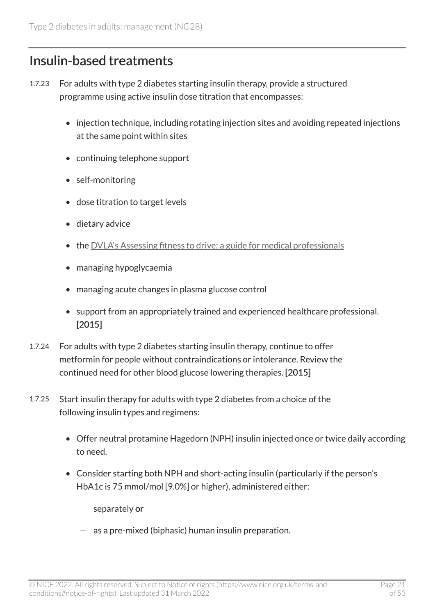### <span id="page-20-0"></span>Insulin-based treatments

- 1.7.23 For adults with type 2 diabetes starting insulin therapy, provide a structured programme using active insulin dose titration that encompasses:
	- injection technique, including rotating injection sites and avoiding repeated injections at the same point within sites
	- continuing telephone support
	- self-monitoring
	- dose titration to target levels
	- dietary advice
	- the [DVLA's Assessing fitness to drive: a guide for medical professionals](http://www.gov.uk/government/publications/at-a-glance)
	- managing hypoglycaemia
	- managing acute changes in plasma glucose control
	- support from an appropriately trained and experienced healthcare professional. [2015]
- 1.7.24 For adults with type 2 diabetes starting insulin therapy, continue to offer metformin for people without contraindications or intolerance. Review the continued need for other blood glucose lowering therapies. [2015]
- 1.7.25 Start insulin therapy for adults with type 2 diabetes from a choice of the following insulin types and regimens:
	- Offer neutral protamine Hagedorn (NPH) insulin injected once or twice daily according to need.
	- Consider starting both NPH and short-acting insulin (particularly if the person's HbA1c is 75 mmol/mol [9.0%] or higher), administered either:
		- $-$  separately or
		- $-$  as a pre-mixed (biphasic) human insulin preparation.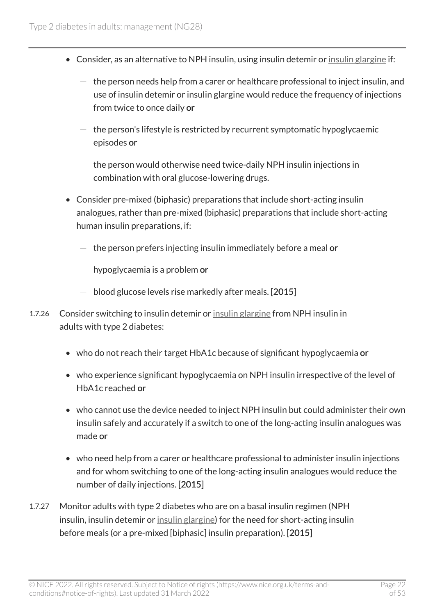- Consider, as an alternative to NPH insulin, using insulin detemir or [insulin glargine](#page-28-4) if:
	- $-$  the person needs help from a carer or healthcare professional to inject insulin, and use of insulin detemir or insulin glargine would reduce the frequency of injections from twice to once daily or
	- $-$  the person's lifestyle is restricted by recurrent symptomatic hypoglycaemic episodes or
	- $-$  the person would otherwise need twice-daily NPH insulin injections in combination with oral glucose-lowering drugs.
- Consider pre-mixed (biphasic) preparations that include short-acting insulin analogues, rather than pre-mixed (biphasic) preparations that include short-acting human insulin preparations, if:
	- $-$  the person prefers injecting insulin immediately before a meal or
	- $-$  hypoglycaemia is a problem or
	- $-$  blood glucose levels rise markedly after meals. [2015]
- 1.7.26 Consider switching to insulin detemir or [insulin glargine](#page-28-4) from NPH insulin in adults with type 2 diabetes:
	- who do not reach their target HbA1c because of significant hypoglycaemia or
	- who experience significant hypoglycaemia on NPH insulin irrespective of the level of HbA1c reached or
	- who cannot use the device needed to inject NPH insulin but could administer their own insulin safely and accurately if a switch to one of the long-acting insulin analogues was made or
	- who need help from a carer or healthcare professional to administer insulin injections and for whom switching to one of the long-acting insulin analogues would reduce the number of daily injections. [2015]
- 1.7.27 Monitor adults with type 2 diabetes who are on a basal insulin regimen (NPH insulin, insulin detemir or [insulin glargine](#page-28-4)) for the need for short-acting insulin before meals (or a pre-mixed [biphasic] insulin preparation). [2015]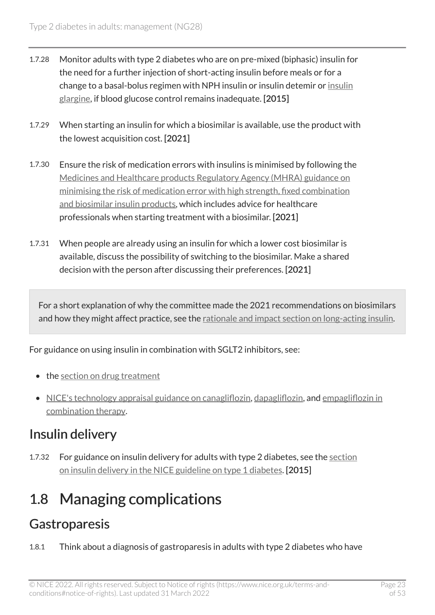- 1.7.28 Monitor adults with type 2 diabetes who are on pre-mixed (biphasic) insulin for the need for a further injection of short-acting insulin before meals or for a change to a basal-bolus regimen with NPH insulin or insulin detemir or [insulin](#page-28-4) [glargine,](#page-28-4) if blood glucose control remains inadequate. [2015]
- 1.7.29 When starting an insulin for which a biosimilar is available, use the product with the lowest acquisition cost. [2021]
- 1.7.30 Ensure the risk of medication errors with insulins is minimised by following the [Medicines and Healthcare products Regulatory Agency \(MHRA\) guidance on](https://www.gov.uk/drug-safety-update/high-strength-fixed-combination-and-biosimilar-insulin-products-minimising-the-risk-of-medication-error?UNLID=7533607272016481362) [minimising the risk of medication error with high strength, fixed combination](https://www.gov.uk/drug-safety-update/high-strength-fixed-combination-and-biosimilar-insulin-products-minimising-the-risk-of-medication-error?UNLID=7533607272016481362)  [and biosimilar insulin products,](https://www.gov.uk/drug-safety-update/high-strength-fixed-combination-and-biosimilar-insulin-products-minimising-the-risk-of-medication-error?UNLID=7533607272016481362) which includes advice for healthcare professionals when starting treatment with a biosimilar. [2021]
- 1.7.31 When people are already using an insulin for which a lower cost biosimilar is available, discuss the possibility of switching to the biosimilar. Make a shared decision with the person after discussing their preferences. [2021]

For a short explanation of why the committee made the 2021 recommendations on biosimilars and how they might affect practice, see the [rationale and impact section on long-acting insulin](#page-45-0).

For guidance on using insulin in combination with SGLT2 inhibitors, see:

- the [section on drug treatment](#page-13-0)
- [NICE's technology appraisal guidance on canagliflozin](https://www.nice.org.uk/guidance/ta315), [dapagliflozin,](https://www.nice.org.uk/guidance/ta288) and empagliflozin in [combination therapy.](https://www.nice.org.uk/guidance/ta336)

### Insulin delivery

1.7.32 For guidance on insulin delivery for adults with type 2 diabetes, see the section [on insulin delivery in the NICE guideline on type](http://www.nice.org.uk/guidance/ng17/chapter/1-Recommendations#insulin-delivery) 1 diabetes. [2015]

## <span id="page-22-0"></span>1.8 Managing complications

### **Gastroparesis**

1.8.1 Think about a diagnosis of gastroparesis in adults with type 2 diabetes who have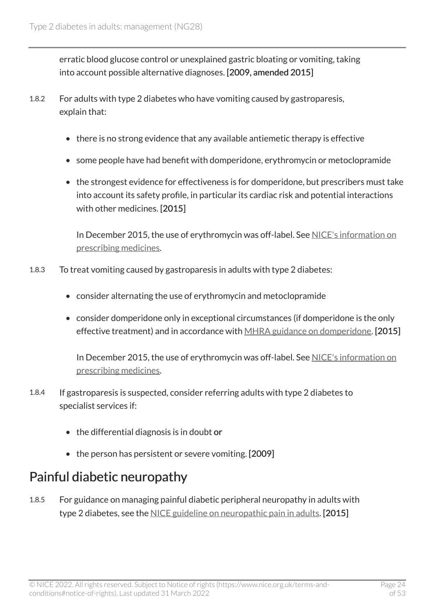erratic blood glucose control or unexplained gastric bloating or vomiting, taking into account possible alternative diagnoses. [2009, amended 2015]

- 1.8.2 For adults with type 2 diabetes who have vomiting caused by gastroparesis, explain that:
	- there is no strong evidence that any available antiemetic therapy is effective
	- some people have had benefit with domperidone, erythromycin or metoclopramide
	- the strongest evidence for effectiveness is for domperidone, but prescribers must take into account its safety profile, in particular its cardiac risk and potential interactions with other medicines. [2015]

In December 2015, the use of erythromycin was off-label. See NICE's information on [prescribing medicines.](https://www.nice.org.uk/about/what-we-do/our-programmes/nice-guidance/nice-guidelines/making-decisions-using-nice-guidelines#prescribing-medicines)

- 1.8.3 To treat vomiting caused by gastroparesis in adults with type 2 diabetes:
	- consider alternating the use of erythromycin and metoclopramide
	- consider domperidone only in exceptional circumstances (if domperidone is the only effective treatment) and in accordance with [MHRA guidance on domperidone](https://www.gov.uk/drug-safety-update/domperidone-risks-of-cardiac-side-effects). [2015]

In December 2015, the use of erythromycin was off-label. See [NICE's information on](https://www.nice.org.uk/about/what-we-do/our-programmes/nice-guidance/nice-guidelines/making-decisions-using-nice-guidelines#prescribing-medicines)  [prescribing medicines.](https://www.nice.org.uk/about/what-we-do/our-programmes/nice-guidance/nice-guidelines/making-decisions-using-nice-guidelines#prescribing-medicines)

- 1.8.4 If gastroparesis is suspected, consider referring adults with type 2 diabetes to specialist services if:
	- the differential diagnosis is in doubt or
	- the person has persistent or severe vomiting. [2009]

#### Painful diabetic neuropathy

1.8.5 For guidance on managing painful diabetic peripheral neuropathy in adults with type 2 diabetes, see the [NICE guideline on neuropathic pain in adults](https://www.nice.org.uk/guidance/cg173). [2015]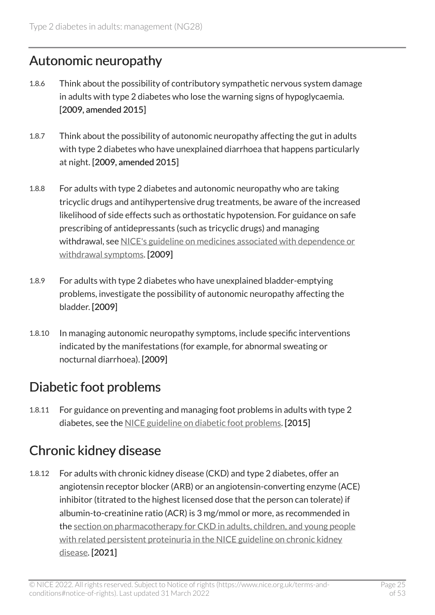#### Autonomic neuropathy

- 1.8.6 Think about the possibility of contributory sympathetic nervous system damage in adults with type 2 diabetes who lose the warning signs of hypoglycaemia. [2009, amended 2015]
- 1.8.7 Think about the possibility of autonomic neuropathy affecting the gut in adults with type 2 diabetes who have unexplained diarrhoea that happens particularly at night. [2009, amended 2015]
- 1.8.8 For adults with type 2 diabetes and autonomic neuropathy who are taking tricyclic drugs and antihypertensive drug treatments, be aware of the increased likelihood of side effects such as orthostatic hypotension. For guidance on safe prescribing of antidepressants (such as tricyclic drugs) and managing withdrawal, see [NICE's guideline on medicines associated with dependence or](https://www.nice.org.uk/guidance/ng215)  [withdrawal symptoms.](https://www.nice.org.uk/guidance/ng215) [2009]
- 1.8.9 For adults with type 2 diabetes who have unexplained bladder-emptying problems, investigate the possibility of autonomic neuropathy affecting the bladder. [2009]
- 1.8.10 In managing autonomic neuropathy symptoms, include specific interventions indicated by the manifestations (for example, for abnormal sweating or nocturnal diarrhoea). [2009]

### Diabetic foot problems

1.8.11 For guidance on preventing and managing foot problems in adults with type 2 diabetes, see the [NICE guideline on diabetic foot problems.](https://www.nice.org.uk/guidance/ng19) [2015]

### <span id="page-24-0"></span>Chronic kidney disease

1.8.12 For adults with chronic kidney disease (CKD) and type 2 diabetes, offer an angiotensin receptor blocker (ARB) or an angiotensin-converting enzyme (ACE) inhibitor (titrated to the highest licensed dose that the person can tolerate) if albumin-to-creatinine ratio (ACR) is 3 mg/mmol or more, as recommended in the [section on pharmacotherapy for CKD in adults, children, and young people](https://www.nice.org.uk/guidance/ng203/chapter/recommendations#pharmacotherapy-for-ckd-in-adults-children-and-young-people-with-related-persistent-proteinuria)  with related persistent proteinuria in the NICE guideline on chronic kidney [disease](https://www.nice.org.uk/guidance/ng203/chapter/recommendations#pharmacotherapy-for-ckd-in-adults-children-and-young-people-with-related-persistent-proteinuria). [2021]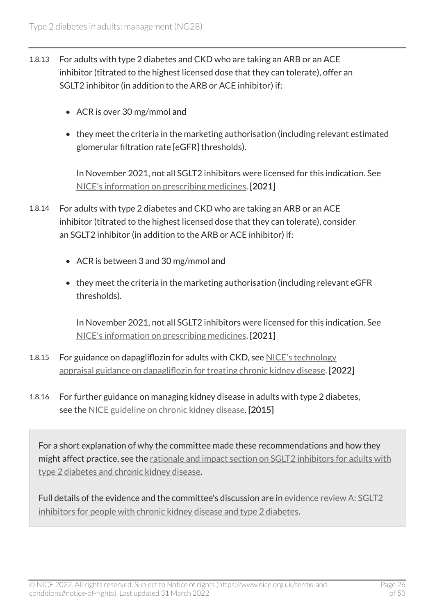- 1.8.13 For adults with type 2 diabetes and CKD who are taking an ARB or an ACE inhibitor (titrated to the highest licensed dose that they can tolerate), offer an SGLT2 inhibitor (in addition to the ARB or ACE inhibitor) if:
	- ACR is over 30 mg/mmol and
	- they meet the criteria in the marketing authorisation (including relevant estimated glomerular filtration rate [eGFR] thresholds).

In November 2021, not all SGLT2 inhibitors were licensed for this indication. See [NICE's information on prescribing medicines](https://www.nice.org.uk/about/what-we-do/our-programmes/nice-guidance/nice-guidelines/making-decisions-using-nice-guidelines#prescribing-medicines). [2021]

- 1.8.14 For adults with type 2 diabetes and CKD who are taking an ARB or an ACE inhibitor (titrated to the highest licensed dose that they can tolerate), consider an SGLT2 inhibitor (in addition to the ARB or ACE inhibitor) if:
	- ACR is between 3 and 30 mg/mmol and
	- they meet the criteria in the marketing authorisation (including relevant eGFR thresholds).

In November 2021, not all SGLT2 inhibitors were licensed for this indication. See [NICE's information on prescribing medicines](https://www.nice.org.uk/about/what-we-do/our-programmes/nice-guidance/nice-guidelines/making-decisions-using-nice-guidelines#prescribing-medicines). [2021]

- 1.8.15 For guidance on dapagliflozin for adults with CKD, see [NICE's technology](https://www.nice.org.uk/guidance/ta775)  [appraisal guidance on dapagliflozin for treating chronic kidney disease](https://www.nice.org.uk/guidance/ta775). [2022]
- 1.8.16 For further guidance on managing kidney disease in adults with type 2 diabetes, see the [NICE guideline on chronic kidney disease.](https://www.nice.org.uk/guidance/ng203) [2015]

For a short explanation of why the committee made these recommendations and how they might affect practice, see the [rationale and impact section on SGLT2 inhibitors for adults with](#page-46-0)  type [2 diabetes and chronic kidney disease](#page-46-0).

Full details of the evidence and the committee's discussion are in [evidence review A: SGLT2](https://www.nice.org.uk/guidance/ng28/evidence/sglt2-inhibitors-for-people-with-chronic-kidney-disease-and-type-2-diabetes-pdf-10958150413) [inhibitors for people with chronic kidney disease and type](https://www.nice.org.uk/guidance/ng28/evidence/sglt2-inhibitors-for-people-with-chronic-kidney-disease-and-type-2-diabetes-pdf-10958150413) 2 diabetes.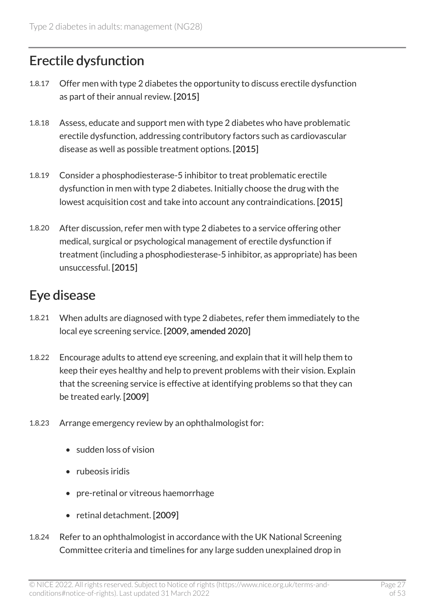### Erectile dysfunction

- 1.8.17 Offer men with type 2 diabetes the opportunity to discuss erectile dysfunction as part of their annual review. [2015]
- 1.8.18 Assess, educate and support men with type 2 diabetes who have problematic erectile dysfunction, addressing contributory factors such as cardiovascular disease as well as possible treatment options. [2015]
- 1.8.19 Consider a phosphodiesterase-5 inhibitor to treat problematic erectile dysfunction in men with type 2 diabetes. Initially choose the drug with the lowest acquisition cost and take into account any contraindications. [2015]
- 1.8.20 After discussion, refer men with type 2 diabetes to a service offering other medical, surgical or psychological management of erectile dysfunction if treatment (including a phosphodiesterase-5 inhibitor, as appropriate) has been unsuccessful. [2015]

### Eye disease

- 1.8.21 When adults are diagnosed with type 2 diabetes, refer them immediately to the local eye screening service. [2009, amended 2020]
- 1.8.22 Encourage adults to attend eye screening, and explain that it will help them to keep their eyes healthy and help to prevent problems with their vision. Explain that the screening service is effective at identifying problems so that they can be treated early. [2009]
- 1.8.23 Arrange emergency review by an ophthalmologist for:
	- sudden loss of vision
	- rubeosis iridis
	- pre-retinal or vitreous haemorrhage
	- retinal detachment. [2009]
- 1.8.24 Refer to an ophthalmologist in accordance with the UK National Screening Committee criteria and timelines for any large sudden unexplained drop in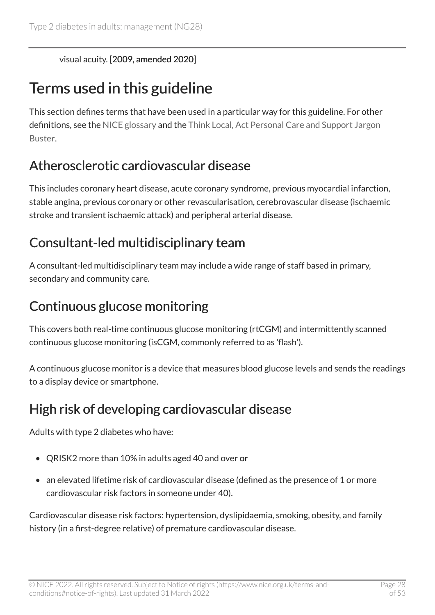visual acuity. [2009, amended 2020]

## <span id="page-27-0"></span>Terms used in this guideline

This section defines terms that have been used in a particular way for this guideline. For other definitions, see the [NICE glossary](https://www.nice.org.uk/glossary) and the [Think Local, Act Personal Care and Support Jargon](http://www.thinklocalactpersonal.org.uk/Browse/Informationandadvice/CareandSupportJargonBuster/)  [Buster](http://www.thinklocalactpersonal.org.uk/Browse/Informationandadvice/CareandSupportJargonBuster/).

### <span id="page-27-3"></span>Atherosclerotic cardiovascular disease

This includes coronary heart disease, acute coronary syndrome, previous myocardial infarction, stable angina, previous coronary or other revascularisation, cerebrovascular disease (ischaemic stroke and transient ischaemic attack) and peripheral arterial disease.

### <span id="page-27-4"></span>Consultant-led multidisciplinary team

A consultant-led multidisciplinary team may include a wide range of staff based in primary, secondary and community care.

### <span id="page-27-1"></span>Continuous glucose monitoring

This covers both real-time continuous glucose monitoring (rtCGM) and intermittently scanned continuous glucose monitoring (isCGM, commonly referred to as 'flash').

A continuous glucose monitor is a device that measures blood glucose levels and sends the readings to a display device or smartphone.

### <span id="page-27-2"></span>High risk of developing cardiovascular disease

Adults with type 2 diabetes who have:

- QRISK2 more than 10% in adults aged 40 and over or
- an elevated lifetime risk of cardiovascular disease (defined as the presence of 1 or more cardiovascular risk factors in someone under 40).

Cardiovascular disease risk factors: hypertension, dyslipidaemia, smoking, obesity, and family history (in a first-degree relative) of premature cardiovascular disease.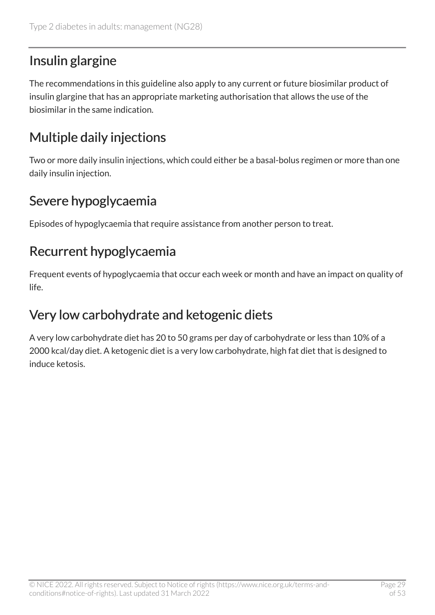## <span id="page-28-4"></span>Insulin glargine

The recommendations in this guideline also apply to any current or future biosimilar product of insulin glargine that has an appropriate marketing authorisation that allows the use of the biosimilar in the same indication.

## <span id="page-28-0"></span>Multiple daily injections

Two or more daily insulin injections, which could either be a basal-bolus regimen or more than one daily insulin injection.

## <span id="page-28-2"></span>Severe hypoglycaemia

Episodes of hypoglycaemia that require assistance from another person to treat.

### <span id="page-28-1"></span>Recurrent hypoglycaemia

Frequent events of hypoglycaemia that occur each week or month and have an impact on quality of life.

### <span id="page-28-3"></span>Very low carbohydrate and ketogenic diets

A very low carbohydrate diet has 20 to 50 grams per day of carbohydrate or less than 10% of a 2000 kcal/day diet. A ketogenic diet is a very low carbohydrate, high fat diet that is designed to induce ketosis.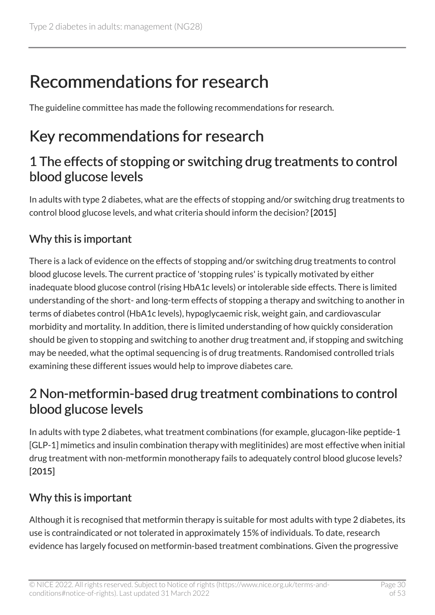# <span id="page-29-0"></span>Recommendations for research

The guideline committee has made the following recommendations for research.

# <span id="page-29-1"></span>Key recommendations for research

#### 1 The effects of stopping or switching drug treatments to control blood glucose levels

In adults with type 2 diabetes, what are the effects of stopping and/or switching drug treatments to control blood glucose levels, and what criteria should inform the decision? [2015]

#### Why this is important

There is a lack of evidence on the effects of stopping and/or switching drug treatments to control blood glucose levels. The current practice of 'stopping rules' is typically motivated by either inadequate blood glucose control (rising HbA1c levels) or intolerable side effects. There is limited understanding of the short- and long-term effects of stopping a therapy and switching to another in terms of diabetes control (HbA1c levels), hypoglycaemic risk, weight gain, and cardiovascular morbidity and mortality. In addition, there is limited understanding of how quickly consideration should be given to stopping and switching to another drug treatment and, if stopping and switching may be needed, what the optimal sequencing is of drug treatments. Randomised controlled trials examining these different issues would help to improve diabetes care.

#### 2 Non-metformin-based drug treatment combinations to control blood glucose levels

In adults with type 2 diabetes, what treatment combinations (for example, glucagon-like peptide-1 [GLP-1] mimetics and insulin combination therapy with meglitinides) are most effective when initial drug treatment with non-metformin monotherapy fails to adequately control blood glucose levels? [2015]

#### Why this is important

Although it is recognised that metformin therapy is suitable for most adults with type 2 diabetes, its use is contraindicated or not tolerated in approximately 15% of individuals. To date, research evidence has largely focused on metformin-based treatment combinations. Given the progressive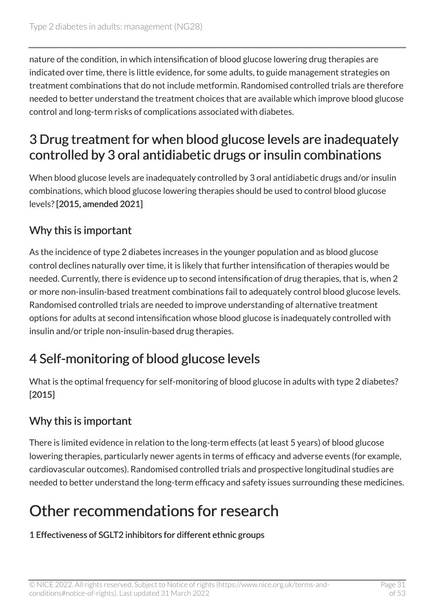nature of the condition, in which intensification of blood glucose lowering drug therapies are indicated over time, there is little evidence, for some adults, to guide management strategies on treatment combinations that do not include metformin. Randomised controlled trials are therefore needed to better understand the treatment choices that are available which improve blood glucose control and long-term risks of complications associated with diabetes.

#### 3 Drug treatment for when blood glucose levels are inadequately controlled by 3 oral antidiabetic drugs or insulin combinations

When blood glucose levels are inadequately controlled by 3 oral antidiabetic drugs and/or insulin combinations, which blood glucose lowering therapies should be used to control blood glucose levels? [2015, amended 2021]

#### Why this is important

As the incidence of type 2 diabetes increases in the younger population and as blood glucose control declines naturally over time, it is likely that further intensification of therapies would be needed. Currently, there is evidence up to second intensification of drug therapies, that is, when 2 or more non-insulin-based treatment combinations fail to adequately control blood glucose levels. Randomised controlled trials are needed to improve understanding of alternative treatment options for adults at second intensification whose blood glucose is inadequately controlled with insulin and/or triple non-insulin-based drug therapies.

### 4 Self-monitoring of blood glucose levels

What is the optimal frequency for self-monitoring of blood glucose in adults with type 2 diabetes? [2015]

#### Why this is important

There is limited evidence in relation to the long-term effects (at least 5 years) of blood glucose lowering therapies, particularly newer agents in terms of efficacy and adverse events (for example, cardiovascular outcomes). Randomised controlled trials and prospective longitudinal studies are needed to better understand the long-term efficacy and safety issues surrounding these medicines.

# <span id="page-30-0"></span>Other recommendations for research

#### 1 Effectiveness of SGLT2 inhibitors for different ethnic groups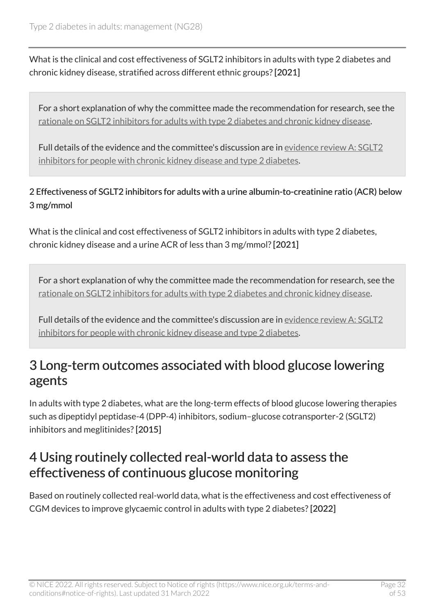What is the clinical and cost effectiveness of SGLT2 inhibitors in adults with type 2 diabetes and chronic kidney disease, stratified across different ethnic groups? [2021]

For a short explanation of why the committee made the recommendation for research, see the [rationale on SGLT2 inhibitors for adults with type](#page-46-0) 2 diabetes and chronic kidney disease.

Full details of the evidence and the committee's discussion are in [evidence review](https://www.nice.org.uk/guidance/ng28/evidence/sglt2-inhibitors-for-people-with-chronic-kidney-disease-and-type-2-diabetes-pdf-10958150413) A: SGLT2 [inhibitors for people with chronic kidney disease and type](https://www.nice.org.uk/guidance/ng28/evidence/sglt2-inhibitors-for-people-with-chronic-kidney-disease-and-type-2-diabetes-pdf-10958150413) 2 diabetes.

2 Effectiveness of SGLT2 inhibitors for adults with a urine albumin-to-creatinine ratio (ACR) below 3 mg/mmol

What is the clinical and cost effectiveness of SGLT2 inhibitors in adults with type 2 diabetes, chronic kidney disease and a urine ACR of less than 3 mg/mmol? [2021]

For a short explanation of why the committee made the recommendation for research, see the [rationale on SGLT2 inhibitors for adults with type](#page-46-0) 2 diabetes and chronic kidney disease.

Full details of the evidence and the committee's discussion are in [evidence review](https://www.nice.org.uk/guidance/ng28/evidence/sglt2-inhibitors-for-people-with-chronic-kidney-disease-and-type-2-diabetes-pdf-10958150413) A: SGLT2 [inhibitors for people with chronic kidney disease and type](https://www.nice.org.uk/guidance/ng28/evidence/sglt2-inhibitors-for-people-with-chronic-kidney-disease-and-type-2-diabetes-pdf-10958150413) 2 diabetes.

#### 3 Long-term outcomes associated with blood glucose lowering agents

In adults with type 2 diabetes, what are the long-term effects of blood glucose lowering therapies such as dipeptidyl peptidase-4 (DPP-4) inhibitors, sodium–glucose cotransporter-2 (SGLT2) inhibitors and meglitinides? [2015]

#### <span id="page-31-0"></span>4 Using routinely collected real-world data to assess the effectiveness of continuous glucose monitoring

Based on routinely collected real-world data, what is the effectiveness and cost effectiveness of CGM devices to improve glycaemic control in adults with type 2 diabetes? [2022]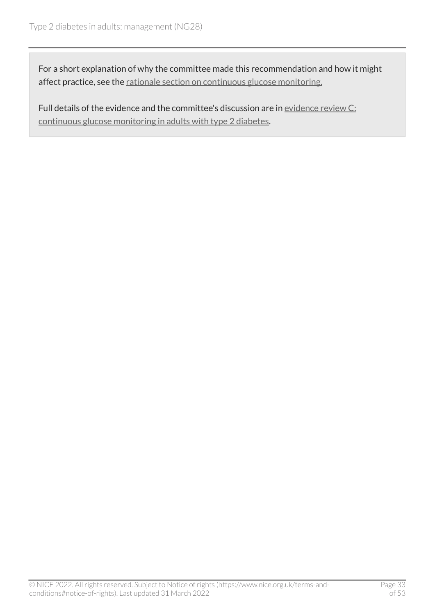For a short explanation of why the committee made this recommendation and how it might affect practice, see the [rationale section on continuous glucose monitoring.](#page-33-1)

Full details of the evidence and the committee's discussion are in [evidence review](https://www.nice.org.uk/guidance/ng28/evidence/c-continuous-glucose-monitoring-in-adults-with-type-2-diabetes-pdf-11013297805) C: [continuous glucose monitoring in adults with type](https://www.nice.org.uk/guidance/ng28/evidence/c-continuous-glucose-monitoring-in-adults-with-type-2-diabetes-pdf-11013297805) 2 diabetes.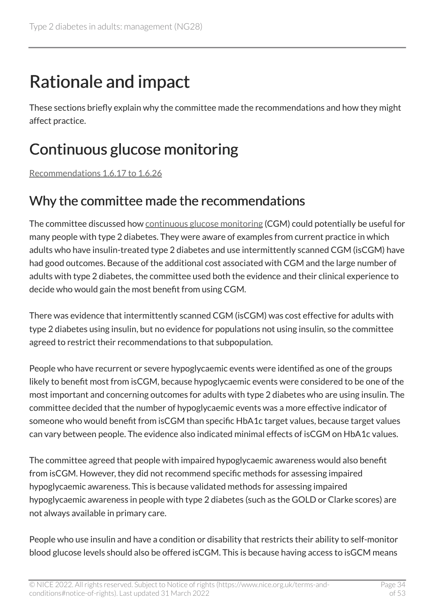# <span id="page-33-0"></span>Rationale and impact

These sections briefly explain why the committee made the recommendations and how they might affect practice.

# <span id="page-33-1"></span>Continuous glucose monitoring

[Recommendations 1.6.17 to 1.6.26](#page-11-0) 

### Why the committee made the recommendations

The committee discussed how [continuous glucose monitoring](#page-27-1) (CGM) could potentially be useful for many people with type 2 diabetes. They were aware of examples from current practice in which adults who have insulin-treated type 2 diabetes and use intermittently scanned CGM (isCGM) have had good outcomes. Because of the additional cost associated with CGM and the large number of adults with type 2 diabetes, the committee used both the evidence and their clinical experience to decide who would gain the most benefit from using CGM.

There was evidence that intermittently scanned CGM (isCGM) was cost effective for adults with type 2 diabetes using insulin, but no evidence for populations not using insulin, so the committee agreed to restrict their recommendations to that subpopulation.

People who have recurrent or severe hypoglycaemic events were identified as one of the groups likely to benefit most from isCGM, because hypoglycaemic events were considered to be one of the most important and concerning outcomes for adults with type 2 diabetes who are using insulin. The committee decided that the number of hypoglycaemic events was a more effective indicator of someone who would benefit from isCGM than specific HbA1c target values, because target values can vary between people. The evidence also indicated minimal effects of isCGM on HbA1c values.

The committee agreed that people with impaired hypoglycaemic awareness would also benefit from isCGM. However, they did not recommend specific methods for assessing impaired hypoglycaemic awareness. This is because validated methods for assessing impaired hypoglycaemic awareness in people with type 2 diabetes (such as the GOLD or Clarke scores) are not always available in primary care.

People who use insulin and have a condition or disability that restricts their ability to self-monitor blood glucose levels should also be offered isCGM. This is because having access to isGCM means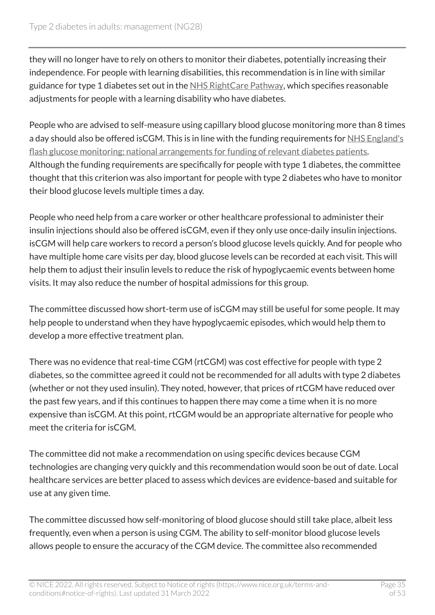they will no longer have to rely on others to monitor their diabetes, potentially increasing their independence. For people with learning disabilities, this recommendation is in line with similar guidance for type 1 diabetes set out in the [NHS RightCare Pathway,](https://www.england.nhs.uk/rightcare/products/pathways/diabetes-pathway/) which specifies reasonable adjustments for people with a learning disability who have diabetes.

People who are advised to self-measure using capillary blood glucose monitoring more than 8 times a day should also be offered isCGM. This is in line with the funding requirements for NHS England's [flash glucose monitoring: national arrangements for funding of relevant diabetes patients.](https://www.england.nhs.uk/publication/flash-glucose-monitoring-national-arrangements-for-funding-of-relevant-diabetes-patients/) Although the funding requirements are specifically for people with type 1 diabetes, the committee thought that this criterion was also important for people with type 2 diabetes who have to monitor their blood glucose levels multiple times a day.

People who need help from a care worker or other healthcare professional to administer their insulin injections should also be offered isCGM, even if they only use once-daily insulin injections. isCGM will help care workers to record a person's blood glucose levels quickly. And for people who have multiple home care visits per day, blood glucose levels can be recorded at each visit. This will help them to adjust their insulin levels to reduce the risk of hypoglycaemic events between home visits. It may also reduce the number of hospital admissions for this group.

The committee discussed how short-term use of isCGM may still be useful for some people. It may help people to understand when they have hypoglycaemic episodes, which would help them to develop a more effective treatment plan.

There was no evidence that real-time CGM (rtCGM) was cost effective for people with type 2 diabetes, so the committee agreed it could not be recommended for all adults with type 2 diabetes (whether or not they used insulin). They noted, however, that prices of rtCGM have reduced over the past few years, and if this continues to happen there may come a time when it is no more expensive than isCGM. At this point, rtCGM would be an appropriate alternative for people who meet the criteria for isCGM.

The committee did not make a recommendation on using specific devices because CGM technologies are changing very quickly and this recommendation would soon be out of date. Local healthcare services are better placed to assess which devices are evidence-based and suitable for use at any given time.

The committee discussed how self-monitoring of blood glucose should still take place, albeit less frequently, even when a person is using CGM. The ability to self-monitor blood glucose levels allows people to ensure the accuracy of the CGM device. The committee also recommended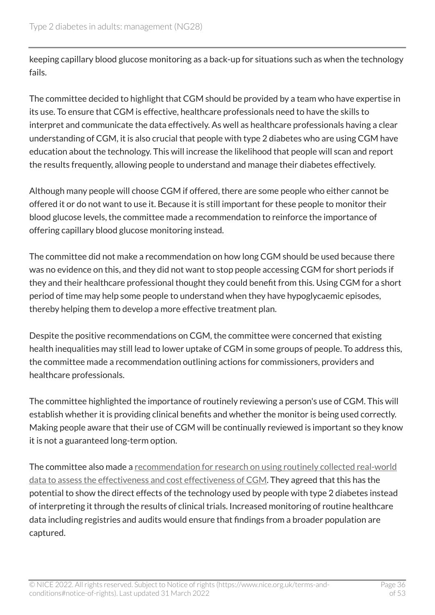keeping capillary blood glucose monitoring as a back-up for situations such as when the technology fails.

The committee decided to highlight that CGM should be provided by a team who have expertise in its use. To ensure that CGM is effective, healthcare professionals need to have the skills to interpret and communicate the data effectively. As well as healthcare professionals having a clear understanding of CGM, it is also crucial that people with type 2 diabetes who are using CGM have education about the technology. This will increase the likelihood that people will scan and report the results frequently, allowing people to understand and manage their diabetes effectively.

Although many people will choose CGM if offered, there are some people who either cannot be offered it or do not want to use it. Because it is still important for these people to monitor their blood glucose levels, the committee made a recommendation to reinforce the importance of offering capillary blood glucose monitoring instead.

The committee did not make a recommendation on how long CGM should be used because there was no evidence on this, and they did not want to stop people accessing CGM for short periods if they and their healthcare professional thought they could benefit from this. Using CGM for a short period of time may help some people to understand when they have hypoglycaemic episodes, thereby helping them to develop a more effective treatment plan.

Despite the positive recommendations on CGM, the committee were concerned that existing health inequalities may still lead to lower uptake of CGM in some groups of people. To address this, the committee made a recommendation outlining actions for commissioners, providers and healthcare professionals.

The committee highlighted the importance of routinely reviewing a person's use of CGM. This will establish whether it is providing clinical benefits and whether the monitor is being used correctly. Making people aware that their use of CGM will be continually reviewed is important so they know it is not a guaranteed long-term option.

The committee also made a [recommendation for research on using routinely collected real-world](#page-31-0) [data to assess the effectiveness and cost effectiveness of CGM](#page-31-0). They agreed that this has the potential to show the direct effects of the technology used by people with type 2 diabetes instead of interpreting it through the results of clinical trials. Increased monitoring of routine healthcare data including registries and audits would ensure that findings from a broader population are captured.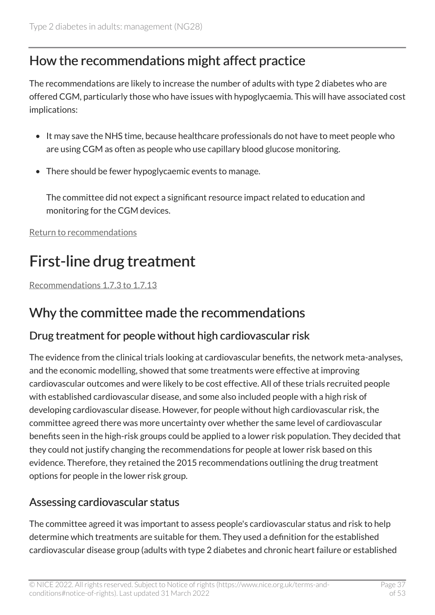### How the recommendations might affect practice

The recommendations are likely to increase the number of adults with type 2 diabetes who are offered CGM, particularly those who have issues with hypoglycaemia. This will have associated cost implications:

- It may save the NHS time, because healthcare professionals do not have to meet people who are using CGM as often as people who use capillary blood glucose monitoring.
- There should be fewer hypoglycaemic events to manage.

The committee did not expect a significant resource impact related to education and monitoring for the CGM devices.

[Return to recommendations](#page-11-0)

# <span id="page-36-0"></span>First-line drug treatment

[Recommendations 1.7.3 to 1.7.13](#page-14-0) 

#### Why the committee made the recommendations

#### Drug treatment for people without high cardiovascular risk

The evidence from the clinical trials looking at cardiovascular benefits, the network meta-analyses, and the economic modelling, showed that some treatments were effective at improving cardiovascular outcomes and were likely to be cost effective. All of these trials recruited people with established cardiovascular disease, and some also included people with a high risk of developing cardiovascular disease. However, for people without high cardiovascular risk, the committee agreed there was more uncertainty over whether the same level of cardiovascular benefits seen in the high-risk groups could be applied to a lower risk population. They decided that they could not justify changing the recommendations for people at lower risk based on this evidence. Therefore, they retained the 2015 recommendations outlining the drug treatment options for people in the lower risk group.

#### Assessing cardiovascular status

The committee agreed it was important to assess people's cardiovascular status and risk to help determine which treatments are suitable for them. They used a definition for the established cardiovascular disease group (adults with type 2 diabetes and chronic heart failure or established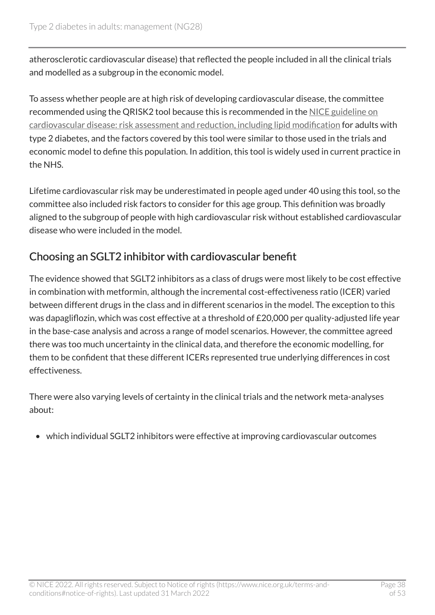atherosclerotic cardiovascular disease) that reflected the people included in all the clinical trials and modelled as a subgroup in the economic model.

To assess whether people are at high risk of developing cardiovascular disease, the committee recommended using the QRISK2 tool because this is recommended in the [NICE guideline on](https://www.nice.org.uk/guidance/cg181) [cardiovascular disease: risk assessment and reduction, including lipid modification](https://www.nice.org.uk/guidance/cg181) for adults with type 2 diabetes, and the factors covered by this tool were similar to those used in the trials and economic model to define this population. In addition, this tool is widely used in current practice in the NHS.

Lifetime cardiovascular risk may be underestimated in people aged under 40 using this tool, so the committee also included risk factors to consider for this age group. This definition was broadly aligned to the subgroup of people with high cardiovascular risk without established cardiovascular disease who were included in the model.

#### Choosing an SGLT2 inhibitor with cardiovascular benefit

The evidence showed that SGLT2 inhibitors as a class of drugs were most likely to be cost effective in combination with metformin, although the incremental cost-effectiveness ratio (ICER) varied between different drugs in the class and in different scenarios in the model. The exception to this was dapagliflozin, which was cost effective at a threshold of £20,000 per quality-adjusted life year in the base-case analysis and across a range of model scenarios. However, the committee agreed there was too much uncertainty in the clinical data, and therefore the economic modelling, for them to be confident that these different ICERs represented true underlying differences in cost effectiveness.

There were also varying levels of certainty in the clinical trials and the network meta-analyses about:

• which individual SGLT2 inhibitors were effective at improving cardiovascular outcomes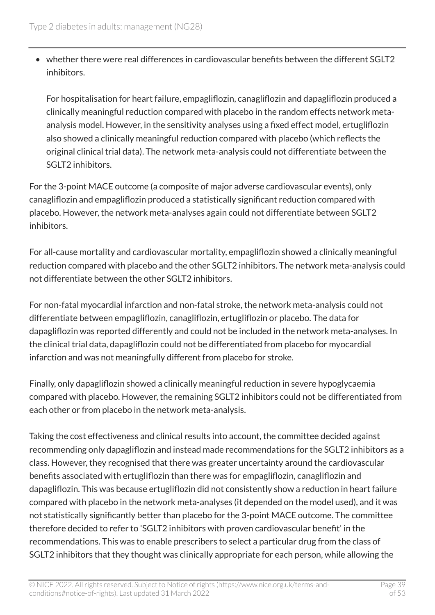• whether there were real differences in cardiovascular benefits between the different SGLT2 inhibitors.

For hospitalisation for heart failure, empagliflozin, canagliflozin and dapagliflozin produced a clinically meaningful reduction compared with placebo in the random effects network metaanalysis model. However, in the sensitivity analyses using a fixed effect model, ertugliflozin also showed a clinically meaningful reduction compared with placebo (which reflects the original clinical trial data). The network meta-analysis could not differentiate between the SGLT2 inhibitors.

For the 3-point MACE outcome (a composite of major adverse cardiovascular events), only canagliflozin and empagliflozin produced a statistically significant reduction compared with placebo. However, the network meta-analyses again could not differentiate between SGLT2 inhibitors.

For all-cause mortality and cardiovascular mortality, empagliflozin showed a clinically meaningful reduction compared with placebo and the other SGLT2 inhibitors. The network meta-analysis could not differentiate between the other SGLT2 inhibitors.

For non-fatal myocardial infarction and non-fatal stroke, the network meta-analysis could not differentiate between empagliflozin, canagliflozin, ertugliflozin or placebo. The data for dapagliflozin was reported differently and could not be included in the network meta-analyses. In the clinical trial data, dapagliflozin could not be differentiated from placebo for myocardial infarction and was not meaningfully different from placebo for stroke.

Finally, only dapagliflozin showed a clinically meaningful reduction in severe hypoglycaemia compared with placebo. However, the remaining SGLT2 inhibitors could not be differentiated from each other or from placebo in the network meta-analysis.

Taking the cost effectiveness and clinical results into account, the committee decided against recommending only dapagliflozin and instead made recommendations for the SGLT2 inhibitors as a class. However, they recognised that there was greater uncertainty around the cardiovascular benefits associated with ertugliflozin than there was for empagliflozin, canagliflozin and dapagliflozin. This was because ertugliflozin did not consistently show a reduction in heart failure compared with placebo in the network meta-analyses (it depended on the model used), and it was not statistically significantly better than placebo for the 3-point MACE outcome. The committee therefore decided to refer to 'SGLT2 inhibitors with proven cardiovascular benefit' in the recommendations. This was to enable prescribers to select a particular drug from the class of SGLT2 inhibitors that they thought was clinically appropriate for each person, while allowing the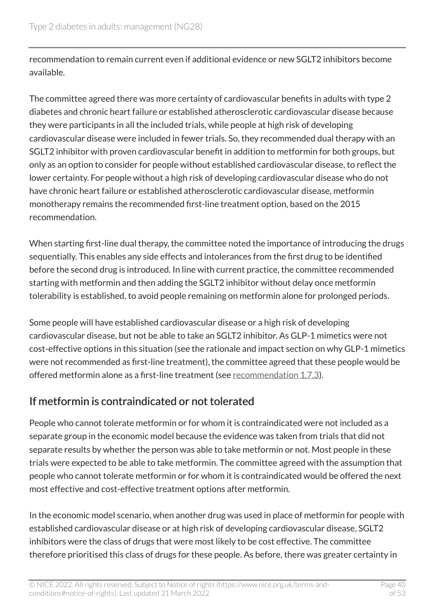recommendation to remain current even if additional evidence or new SGLT2 inhibitors become available.

The committee agreed there was more certainty of cardiovascular benefits in adults with type 2 diabetes and chronic heart failure or established atherosclerotic cardiovascular disease because they were participants in all the included trials, while people at high risk of developing cardiovascular disease were included in fewer trials. So, they recommended dual therapy with an SGLT2 inhibitor with proven cardiovascular benefit in addition to metformin for both groups, but only as an option to consider for people without established cardiovascular disease, to reflect the lower certainty. For people without a high risk of developing cardiovascular disease who do not have chronic heart failure or established atherosclerotic cardiovascular disease, metformin monotherapy remains the recommended first-line treatment option, based on the 2015 recommendation.

When starting first-line dual therapy, the committee noted the importance of introducing the drugs sequentially. This enables any side effects and intolerances from the first drug to be identified before the second drug is introduced. In line with current practice, the committee recommended starting with metformin and then adding the SGLT2 inhibitor without delay once metformin tolerability is established, to avoid people remaining on metformin alone for prolonged periods.

Some people will have established cardiovascular disease or a high risk of developing cardiovascular disease, but not be able to take an SGLT2 inhibitor. As GLP-1 mimetics were not cost-effective options in this situation (see the rationale and impact section on why GLP-1 mimetics were not recommended as first-line treatment), the committee agreed that these people would be offered metformin alone as a first-line treatment (see [recommendation](#page-14-0) 1.7.3).

#### If metformin is contraindicated or not tolerated

People who cannot tolerate metformin or for whom it is contraindicated were not included as a separate group in the economic model because the evidence was taken from trials that did not separate results by whether the person was able to take metformin or not. Most people in these trials were expected to be able to take metformin. The committee agreed with the assumption that people who cannot tolerate metformin or for whom it is contraindicated would be offered the next most effective and cost-effective treatment options after metformin.

In the economic model scenario, when another drug was used in place of metformin for people with established cardiovascular disease or at high risk of developing cardiovascular disease, SGLT2 inhibitors were the class of drugs that were most likely to be cost effective. The committee therefore prioritised this class of drugs for these people. As before, there was greater certainty in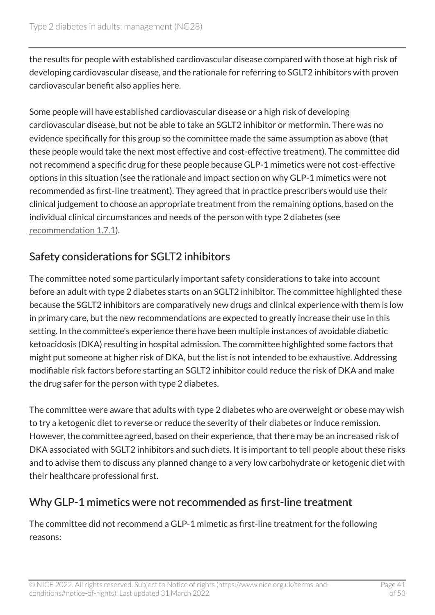the results for people with established cardiovascular disease compared with those at high risk of developing cardiovascular disease, and the rationale for referring to SGLT2 inhibitors with proven cardiovascular benefit also applies here.

Some people will have established cardiovascular disease or a high risk of developing cardiovascular disease, but not be able to take an SGLT2 inhibitor or metformin. There was no evidence specifically for this group so the committee made the same assumption as above (that these people would take the next most effective and cost-effective treatment). The committee did not recommend a specific drug for these people because GLP-1 mimetics were not cost-effective options in this situation (see the rationale and impact section on why GLP-1 mimetics were not recommended as first-line treatment). They agreed that in practice prescribers would use their clinical judgement to choose an appropriate treatment from the remaining options, based on the individual clinical circumstances and needs of the person with type 2 diabetes (see [recommendation](#page-13-1) 1.7.1).

#### Safety considerations for SGLT2 inhibitors

The committee noted some particularly important safety considerations to take into account before an adult with type 2 diabetes starts on an SGLT2 inhibitor. The committee highlighted these because the SGLT2 inhibitors are comparatively new drugs and clinical experience with them is low in primary care, but the new recommendations are expected to greatly increase their use in this setting. In the committee's experience there have been multiple instances of avoidable diabetic ketoacidosis (DKA) resulting in hospital admission. The committee highlighted some factors that might put someone at higher risk of DKA, but the list is not intended to be exhaustive. Addressing modifiable risk factors before starting an SGLT2 inhibitor could reduce the risk of DKA and make the drug safer for the person with type 2 diabetes.

The committee were aware that adults with type 2 diabetes who are overweight or obese may wish to try a ketogenic diet to reverse or reduce the severity of their diabetes or induce remission. However, the committee agreed, based on their experience, that there may be an increased risk of DKA associated with SGLT2 inhibitors and such diets. It is important to tell people about these risks and to advise them to discuss any planned change to a very low carbohydrate or ketogenic diet with their healthcare professional first.

#### Why GLP-1 mimetics were not recommended as first-line treatment

The committee did not recommend a GLP-1 mimetic as first-line treatment for the following reasons: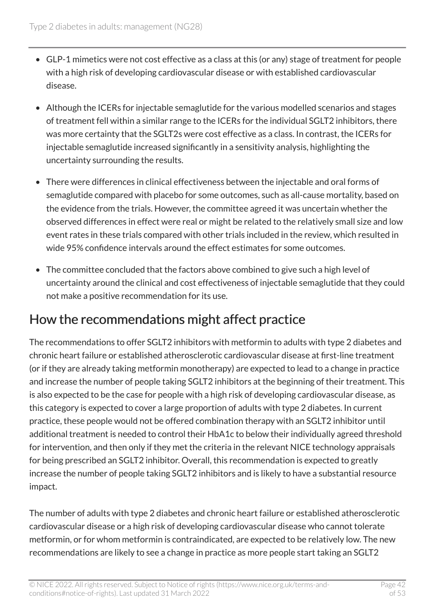- GLP-1 mimetics were not cost effective as a class at this (or any) stage of treatment for people with a high risk of developing cardiovascular disease or with established cardiovascular disease.
- Although the ICERs for injectable semaglutide for the various modelled scenarios and stages of treatment fell within a similar range to the ICERs for the individual SGLT2 inhibitors, there was more certainty that the SGLT2s were cost effective as a class. In contrast, the ICERs for injectable semaglutide increased significantly in a sensitivity analysis, highlighting the uncertainty surrounding the results.
- There were differences in clinical effectiveness between the injectable and oral forms of semaglutide compared with placebo for some outcomes, such as all-cause mortality, based on the evidence from the trials. However, the committee agreed it was uncertain whether the observed differences in effect were real or might be related to the relatively small size and low event rates in these trials compared with other trials included in the review, which resulted in wide 95% confidence intervals around the effect estimates for some outcomes.
- The committee concluded that the factors above combined to give such a high level of uncertainty around the clinical and cost effectiveness of injectable semaglutide that they could not make a positive recommendation for its use.

## How the recommendations might affect practice

The recommendations to offer SGLT2 inhibitors with metformin to adults with type 2 diabetes and chronic heart failure or established atherosclerotic cardiovascular disease at first-line treatment (or if they are already taking metformin monotherapy) are expected to lead to a change in practice and increase the number of people taking SGLT2 inhibitors at the beginning of their treatment. This is also expected to be the case for people with a high risk of developing cardiovascular disease, as this category is expected to cover a large proportion of adults with type 2 diabetes. In current practice, these people would not be offered combination therapy with an SGLT2 inhibitor until additional treatment is needed to control their HbA1c to below their individually agreed threshold for intervention, and then only if they met the criteria in the relevant NICE technology appraisals for being prescribed an SGLT2 inhibitor. Overall, this recommendation is expected to greatly increase the number of people taking SGLT2 inhibitors and is likely to have a substantial resource impact.

The number of adults with type 2 diabetes and chronic heart failure or established atherosclerotic cardiovascular disease or a high risk of developing cardiovascular disease who cannot tolerate metformin, or for whom metformin is contraindicated, are expected to be relatively low. The new recommendations are likely to see a change in practice as more people start taking an SGLT2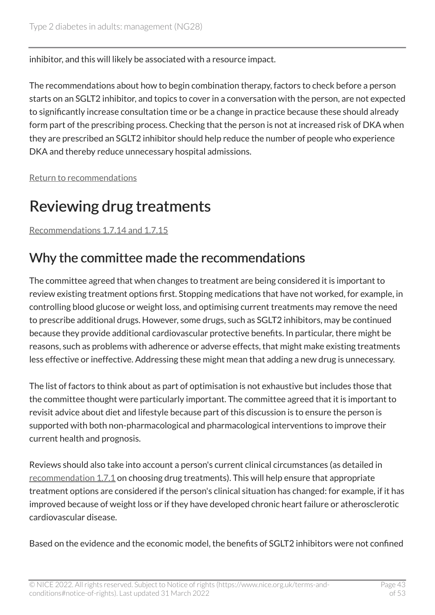inhibitor, and this will likely be associated with a resource impact.

The recommendations about how to begin combination therapy, factors to check before a person starts on an SGLT2 inhibitor, and topics to cover in a conversation with the person, are not expected to significantly increase consultation time or be a change in practice because these should already form part of the prescribing process. Checking that the person is not at increased risk of DKA when they are prescribed an SGLT2 inhibitor should help reduce the number of people who experience DKA and thereby reduce unnecessary hospital admissions.

[Return to recommendations](#page-14-0)

# <span id="page-42-0"></span>Reviewing drug treatments

[Recommendations 1.7.14 and 1.7.15](#page-16-0)

#### Why the committee made the recommendations

The committee agreed that when changes to treatment are being considered it is important to review existing treatment options first. Stopping medications that have not worked, for example, in controlling blood glucose or weight loss, and optimising current treatments may remove the need to prescribe additional drugs. However, some drugs, such as SGLT2 inhibitors, may be continued because they provide additional cardiovascular protective benefits. In particular, there might be reasons, such as problems with adherence or adverse effects, that might make existing treatments less effective or ineffective. Addressing these might mean that adding a new drug is unnecessary.

The list of factors to think about as part of optimisation is not exhaustive but includes those that the committee thought were particularly important. The committee agreed that it is important to revisit advice about diet and lifestyle because part of this discussion is to ensure the person is supported with both non-pharmacological and pharmacological interventions to improve their current health and prognosis.

Reviews should also take into account a person's current clinical circumstances (as detailed in [recommendation](#page-13-1) 1.7.1 on choosing drug treatments). This will help ensure that appropriate treatment options are considered if the person's clinical situation has changed: for example, if it has improved because of weight loss or if they have developed chronic heart failure or atherosclerotic cardiovascular disease.

Based on the evidence and the economic model, the benefits of SGLT2 inhibitors were not confined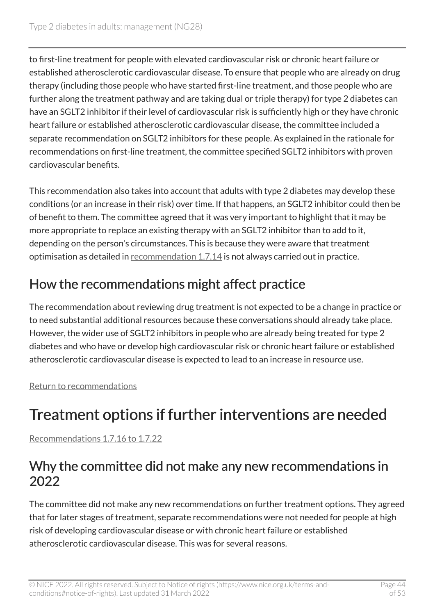to first-line treatment for people with elevated cardiovascular risk or chronic heart failure or established atherosclerotic cardiovascular disease. To ensure that people who are already on drug therapy (including those people who have started first-line treatment, and those people who are further along the treatment pathway and are taking dual or triple therapy) for type 2 diabetes can have an SGLT2 inhibitor if their level of cardiovascular risk is sufficiently high or they have chronic heart failure or established atherosclerotic cardiovascular disease, the committee included a separate recommendation on SGLT2 inhibitors for these people. As explained in the rationale for recommendations on first-line treatment, the committee specified SGLT2 inhibitors with proven cardiovascular benefits.

This recommendation also takes into account that adults with type 2 diabetes may develop these conditions (or an increase in their risk) over time. If that happens, an SGLT2 inhibitor could then be of benefit to them. The committee agreed that it was very important to highlight that it may be more appropriate to replace an existing therapy with an SGLT2 inhibitor than to add to it, depending on the person's circumstances. This is because they were aware that treatment optimisation as detailed in [recommendation 1.7.14](#page-16-0) is not always carried out in practice.

### How the recommendations might affect practice

The recommendation about reviewing drug treatment is not expected to be a change in practice or to need substantial additional resources because these conversations should already take place. However, the wider use of SGLT2 inhibitors in people who are already being treated for type 2 diabetes and who have or develop high cardiovascular risk or chronic heart failure or established atherosclerotic cardiovascular disease is expected to lead to an increase in resource use.

[Return to recommendations](#page-16-0)

# <span id="page-43-0"></span>Treatment options if further interventions are needed

[Recommendations 1.7.16 to 1.7.22](#page-18-0) 

#### Why the committee did not make any new recommendations in 2022

The committee did not make any new recommendations on further treatment options. They agreed that for later stages of treatment, separate recommendations were not needed for people at high risk of developing cardiovascular disease or with chronic heart failure or established atherosclerotic cardiovascular disease. This was for several reasons.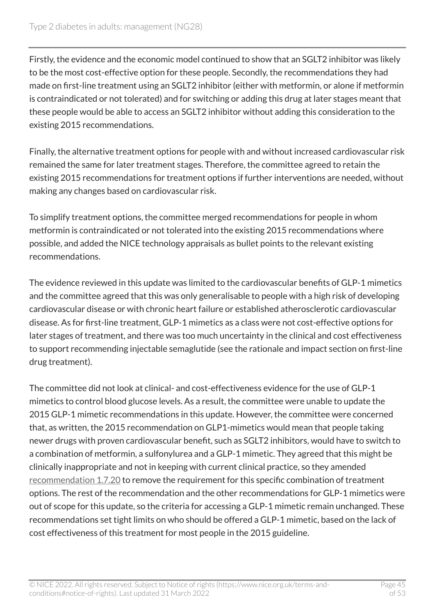Firstly, the evidence and the economic model continued to show that an SGLT2 inhibitor was likely to be the most cost-effective option for these people. Secondly, the recommendations they had made on first-line treatment using an SGLT2 inhibitor (either with metformin, or alone if metformin is contraindicated or not tolerated) and for switching or adding this drug at later stages meant that these people would be able to access an SGLT2 inhibitor without adding this consideration to the existing 2015 recommendations.

Finally, the alternative treatment options for people with and without increased cardiovascular risk remained the same for later treatment stages. Therefore, the committee agreed to retain the existing 2015 recommendations for treatment options if further interventions are needed, without making any changes based on cardiovascular risk.

To simplify treatment options, the committee merged recommendations for people in whom metformin is contraindicated or not tolerated into the existing 2015 recommendations where possible, and added the NICE technology appraisals as bullet points to the relevant existing recommendations.

The evidence reviewed in this update was limited to the cardiovascular benefits of GLP-1 mimetics and the committee agreed that this was only generalisable to people with a high risk of developing cardiovascular disease or with chronic heart failure or established atherosclerotic cardiovascular disease. As for first-line treatment, GLP-1 mimetics as a class were not cost-effective options for later stages of treatment, and there was too much uncertainty in the clinical and cost effectiveness to support recommending injectable semaglutide (see the rationale and impact section on first-line drug treatment).

The committee did not look at clinical- and cost-effectiveness evidence for the use of GLP-1 mimetics to control blood glucose levels. As a result, the committee were unable to update the 2015 GLP-1 mimetic recommendations in this update. However, the committee were concerned that, as written, the 2015 recommendation on GLP1-mimetics would mean that people taking newer drugs with proven cardiovascular benefit, such as SGLT2 inhibitors, would have to switch to a combination of metformin, a sulfonylurea and a GLP-1 mimetic. They agreed that this might be clinically inappropriate and not in keeping with current clinical practice, so they amended [recommendation](#page-18-0) 1.7.20 to remove the requirement for this specific combination of treatment options. The rest of the recommendation and the other recommendations for GLP-1 mimetics were out of scope for this update, so the criteria for accessing a GLP-1 mimetic remain unchanged. These recommendations set tight limits on who should be offered a GLP-1 mimetic, based on the lack of cost effectiveness of this treatment for most people in the 2015 guideline.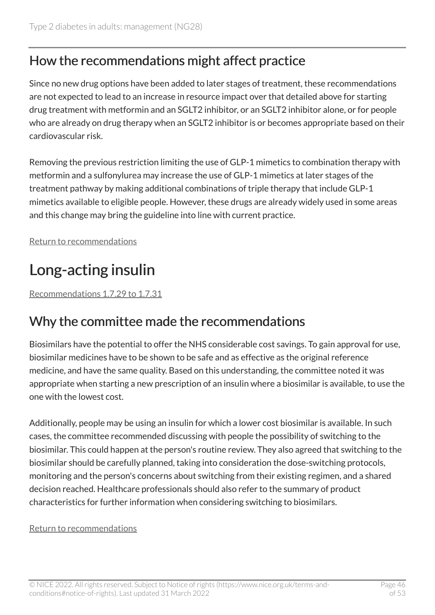### How the recommendations might affect practice

Since no new drug options have been added to later stages of treatment, these recommendations are not expected to lead to an increase in resource impact over that detailed above for starting drug treatment with metformin and an SGLT2 inhibitor, or an SGLT2 inhibitor alone, or for people who are already on drug therapy when an SGLT2 inhibitor is or becomes appropriate based on their cardiovascular risk.

Removing the previous restriction limiting the use of GLP-1 mimetics to combination therapy with metformin and a sulfonylurea may increase the use of GLP-1 mimetics at later stages of the treatment pathway by making additional combinations of triple therapy that include GLP-1 mimetics available to eligible people. However, these drugs are already widely used in some areas and this change may bring the guideline into line with current practice.

[Return to recommendations](#page-18-0)

# <span id="page-45-0"></span>Long-acting insulin

[Recommendations 1.7.29 to 1.7.31](#page-20-0) 

#### Why the committee made the recommendations

Biosimilars have the potential to offer the NHS considerable cost savings. To gain approval for use, biosimilar medicines have to be shown to be safe and as effective as the original reference medicine, and have the same quality. Based on this understanding, the committee noted it was appropriate when starting a new prescription of an insulin where a biosimilar is available, to use the one with the lowest cost.

Additionally, people may be using an insulin for which a lower cost biosimilar is available. In such cases, the committee recommended discussing with people the possibility of switching to the biosimilar. This could happen at the person's routine review. They also agreed that switching to the biosimilar should be carefully planned, taking into consideration the dose-switching protocols, monitoring and the person's concerns about switching from their existing regimen, and a shared decision reached. Healthcare professionals should also refer to the summary of product characteristics for further information when considering switching to biosimilars.

#### [Return to recommendations](#page-20-0)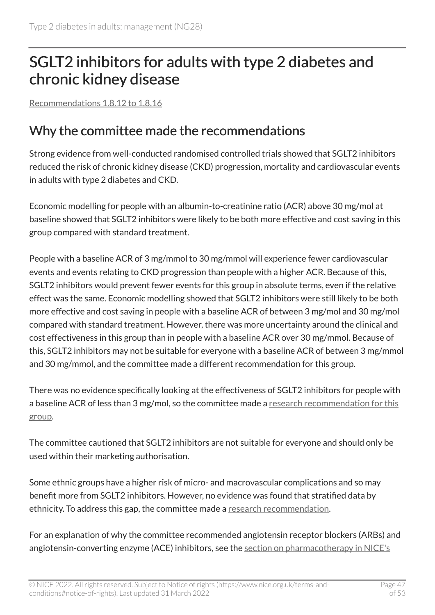## <span id="page-46-0"></span>SGLT2 inhibitors for adults with type 2 diabetes and chronic kidney disease

[Recommendations 1.8.12 to 1.8.16](#page-24-0) 

#### Why the committee made the recommendations

Strong evidence from well-conducted randomised controlled trials showed that SGLT2 inhibitors reduced the risk of chronic kidney disease (CKD) progression, mortality and cardiovascular events in adults with type 2 diabetes and CKD.

Economic modelling for people with an albumin-to-creatinine ratio (ACR) above 30 mg/mol at baseline showed that SGLT2 inhibitors were likely to be both more effective and cost saving in this group compared with standard treatment.

People with a baseline ACR of 3 mg/mmol to 30 mg/mmol will experience fewer cardiovascular events and events relating to CKD progression than people with a higher ACR. Because of this, SGLT2 inhibitors would prevent fewer events for this group in absolute terms, even if the relative effect was the same. Economic modelling showed that SGLT2 inhibitors were still likely to be both more effective and cost saving in people with a baseline ACR of between 3 mg/mol and 30 mg/mol compared with standard treatment. However, there was more uncertainty around the clinical and cost effectiveness in this group than in people with a baseline ACR over 30 mg/mmol. Because of this, SGLT2 inhibitors may not be suitable for everyone with a baseline ACR of between 3 mg/mmol and 30 mg/mmol, and the committee made a different recommendation for this group.

There was no evidence specifically looking at the effectiveness of SGLT2 inhibitors for people with a baseline ACR of less than 3 mg/mol, so the committee made a [research recommendation for this](https://www.nice.org.uk/proxy/?sourceUrl=other_research_recs_2)  [group.](https://www.nice.org.uk/proxy/?sourceUrl=other_research_recs_2)

The committee cautioned that SGLT2 inhibitors are not suitable for everyone and should only be used within their marketing authorisation.

Some ethnic groups have a higher risk of micro- and macrovascular complications and so may benefit more from SGLT2 inhibitors. However, no evidence was found that stratified data by ethnicity. To address this gap, the committee made a [research recommendation](https://www.nice.org.uk/proxy/?sourceUrl=other_research_recs_1).

For an explanation of why the committee recommended angiotensin receptor blockers (ARBs) and angiotensin-converting enzyme (ACE) inhibitors, see the [section on pharmacotherapy in NICE's](https://www.nice.org.uk/guidance/ng203/chapter/Recommendations#pharmacotherapy)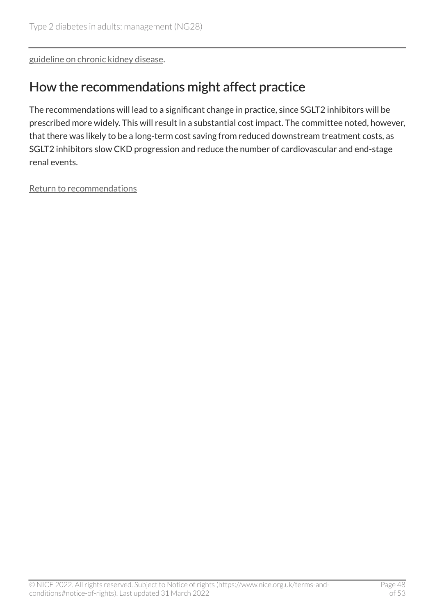[guideline on chronic kidney disease.](https://www.nice.org.uk/guidance/ng203/chapter/Recommendations#pharmacotherapy)

#### How the recommendations might affect practice

The recommendations will lead to a significant change in practice, since SGLT2 inhibitors will be prescribed more widely. This will result in a substantial cost impact. The committee noted, however, that there was likely to be a long-term cost saving from reduced downstream treatment costs, as SGLT2 inhibitors slow CKD progression and reduce the number of cardiovascular and end-stage renal events.

[Return to recommendations](#page-24-0)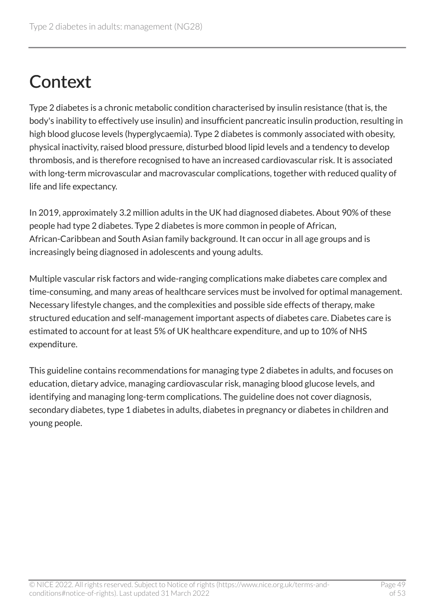# <span id="page-48-0"></span>**Context**

Type 2 diabetes is a chronic metabolic condition characterised by insulin resistance (that is, the body's inability to effectively use insulin) and insufficient pancreatic insulin production, resulting in high blood glucose levels (hyperglycaemia). Type 2 diabetes is commonly associated with obesity, physical inactivity, raised blood pressure, disturbed blood lipid levels and a tendency to develop thrombosis, and is therefore recognised to have an increased cardiovascular risk. It is associated with long-term microvascular and macrovascular complications, together with reduced quality of life and life expectancy.

In 2019, approximately 3.2 million adults in the UK had diagnosed diabetes. About 90% of these people had type 2 diabetes. Type 2 diabetes is more common in people of African, African-Caribbean and South Asian family background. It can occur in all age groups and is increasingly being diagnosed in adolescents and young adults.

Multiple vascular risk factors and wide-ranging complications make diabetes care complex and time-consuming, and many areas of healthcare services must be involved for optimal management. Necessary lifestyle changes, and the complexities and possible side effects of therapy, make structured education and self-management important aspects of diabetes care. Diabetes care is estimated to account for at least 5% of UK healthcare expenditure, and up to 10% of NHS expenditure.

This guideline contains recommendations for managing type 2 diabetes in adults, and focuses on education, dietary advice, managing cardiovascular risk, managing blood glucose levels, and identifying and managing long-term complications. The guideline does not cover diagnosis, secondary diabetes, type 1 diabetes in adults, diabetes in pregnancy or diabetes in children and young people.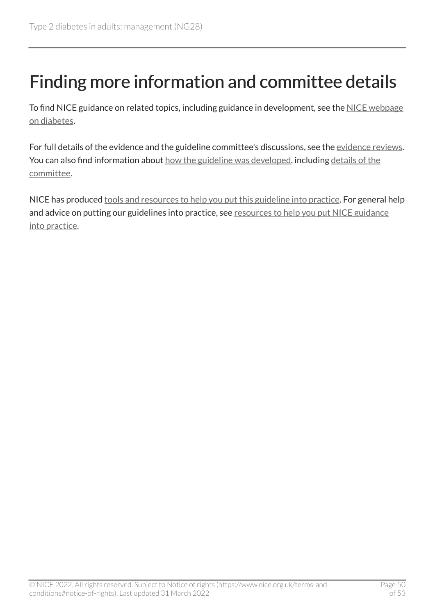# <span id="page-49-0"></span>Finding more information and committee details

To find NICE guidance on related topics, including guidance in development, see the [NICE webpage](https://www.nice.org.uk/guidance/conditions-and-diseases/diabetes-and-other-endocrinal--nutritional-and-metabolic-conditions/diabetes) [on diabetes](https://www.nice.org.uk/guidance/conditions-and-diseases/diabetes-and-other-endocrinal--nutritional-and-metabolic-conditions/diabetes).

For full details of the evidence and the guideline committee's discussions, see the [evidence reviews.](https://www.nice.org.uk/Guidance/NG28/evidence) You can also find information about [how the guideline was developed](https://www.nice.org.uk/Guidance/NG28/documents), including details of the [committee.](https://www.nice.org.uk/guidance/ng28/update/ng28-update-2/documents/committee-member-list)

NICE has produced [tools and resources to help you put this guideline into practice.](https://www.nice.org.uk/guidance/ng28/resources) For general help and advice on putting our guidelines into practice, see [resources to help you put NICE guidance](https://www.nice.org.uk/about/what-we-do/into-practice/resources-help-put-guidance-into-practice) [into practice.](https://www.nice.org.uk/about/what-we-do/into-practice/resources-help-put-guidance-into-practice)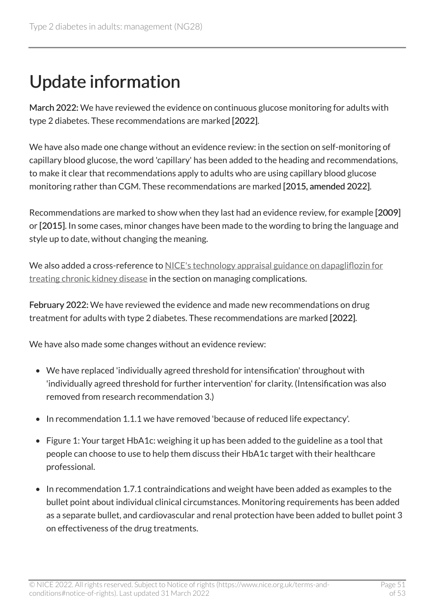# <span id="page-50-0"></span>Update information

March 2022: We have reviewed the evidence on continuous glucose monitoring for adults with type 2 diabetes. These recommendations are marked [2022].

We have also made one change without an evidence review: in the section on self-monitoring of capillary blood glucose, the word 'capillary' has been added to the heading and recommendations, to make it clear that recommendations apply to adults who are using capillary blood glucose monitoring rather than CGM. These recommendations are marked [2015, amended 2022].

Recommendations are marked to show when they last had an evidence review, for example [2009] or [2015]. In some cases, minor changes have been made to the wording to bring the language and style up to date, without changing the meaning.

We also added a cross-reference to [NICE's technology appraisal guidance on dapagliflozin for](https://www.nice.org.uk/guidance/ta775) [treating chronic kidney disease](https://www.nice.org.uk/guidance/ta775) in the section on managing complications.

February 2022: We have reviewed the evidence and made new recommendations on drug treatment for adults with type 2 diabetes. These recommendations are marked [2022].

We have also made some changes without an evidence review:

- We have replaced 'individually agreed threshold for intensification' throughout with 'individually agreed threshold for further intervention' for clarity. (Intensification was also removed from research recommendation 3.)
- In recommendation 1.1.1 we have removed 'because of reduced life expectancy'.
- Figure 1: Your target HbA1c: weighing it up has been added to the guideline as a tool that people can choose to use to help them discuss their HbA1c target with their healthcare professional.
- In recommendation 1.7.1 contraindications and weight have been added as examples to the bullet point about individual clinical circumstances. Monitoring requirements has been added as a separate bullet, and cardiovascular and renal protection have been added to bullet point 3 on effectiveness of the drug treatments.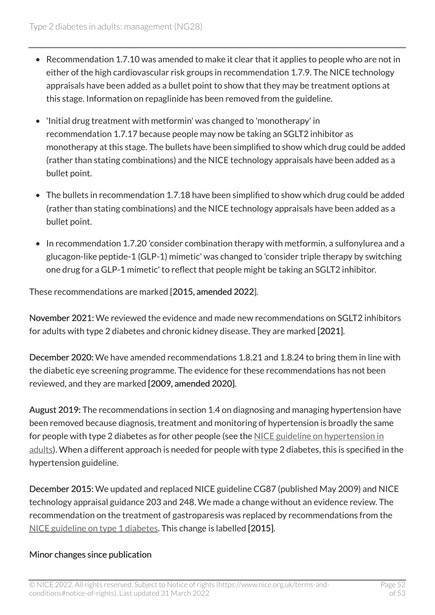- Recommendation 1.7.10 was amended to make it clear that it applies to people who are not in either of the high cardiovascular risk groups in recommendation 1.7.9. The NICE technology appraisals have been added as a bullet point to show that they may be treatment options at this stage. Information on repaglinide has been removed from the guideline.
- 'Initial drug treatment with metformin' was changed to 'monotherapy' in recommendation 1.7.17 because people may now be taking an SGLT2 inhibitor as monotherapy at this stage. The bullets have been simplified to show which drug could be added (rather than stating combinations) and the NICE technology appraisals have been added as a bullet point.
- The bullets in recommendation 1.7.18 have been simplified to show which drug could be added (rather than stating combinations) and the NICE technology appraisals have been added as a bullet point.
- In recommendation 1.7.20 'consider combination therapy with metformin, a sulfonylurea and a glucagon-like peptide-1 (GLP-1) mimetic' was changed to 'consider triple therapy by switching one drug for a GLP-1 mimetic' to reflect that people might be taking an SGLT2 inhibitor.

These recommendations are marked [2015, amended 2022].

November 2021: We reviewed the evidence and made new recommendations on SGLT2 inhibitors for adults with type 2 diabetes and chronic kidney disease. They are marked [2021].

December 2020: We have amended recommendations 1.8.21 and 1.8.24 to bring them in line with the diabetic eye screening programme. The evidence for these recommendations has not been reviewed, and they are marked [2009, amended 2020].

August 2019: The recommendations in section 1.4 on diagnosing and managing hypertension have been removed because diagnosis, treatment and monitoring of hypertension is broadly the same for people with type 2 diabetes as for other people (see the NICE guideline on hypertension in [adults](https://www.nice.org.uk/guidance/ng136)). When a different approach is needed for people with type 2 diabetes, this is specified in the hypertension guideline.

December 2015: We updated and replaced NICE guideline CG87 (published May 2009) and NICE technology appraisal guidance 203 and 248. We made a change without an evidence review. The recommendation on the treatment of gastroparesis was replaced by recommendations from the [NICE guideline on type](https://www.nice.org.uk/guidance/ng17) 1 diabetes. This change is labelled [2015].

#### Minor changes since publication